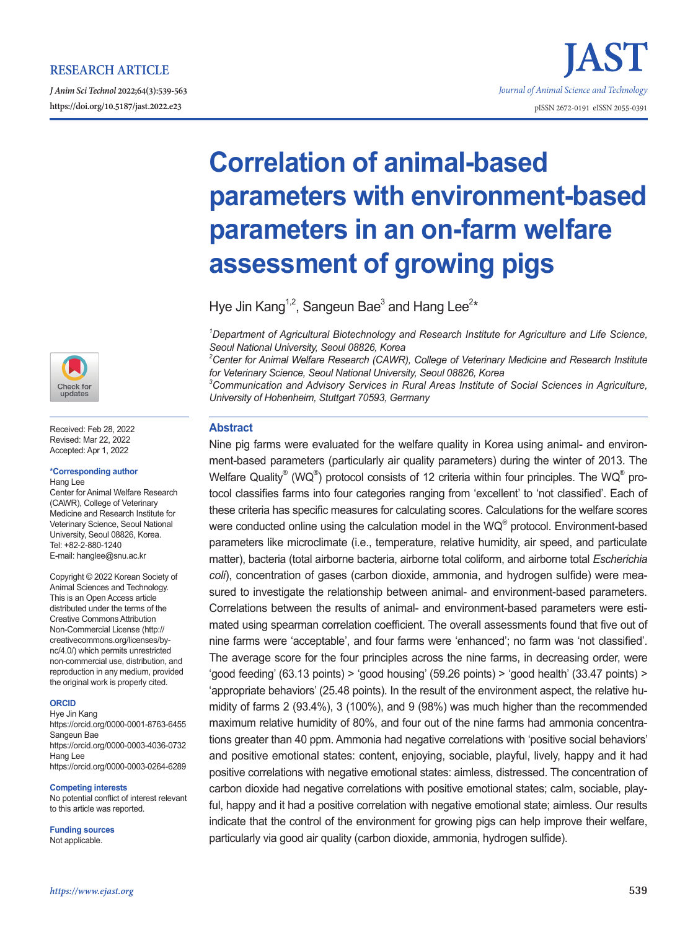# **RESEARCH ARTICLE**

*J Anim Sci Technol* **2022;64(3):539-563 https://doi.org/10.5187/jast.2022.e23** pISSN 2672-0191 eISSN 2055-0391



Received: Feb 28, 2022 Revised: Mar 22, 2022 Accepted: Apr 1, 2022

#### **\*Corresponding author** Hang Lee

Center for Animal Welfare Research (CAWR), College of Veterinary Medicine and Research Institute for Veterinary Science, Seoul National University, Seoul 08826, Korea. Tel: +82-2-880-1240 E-mail: hanglee@snu.ac.kr

Copyright © 2022 Korean Society of Animal Sciences and Technology. This is an Open Access article distributed under the terms of the Creative Commons Attribution Non-Commercial License (http:// creativecommons.org/licenses/bync/4.0/) which permits unrestricted non-commercial use, distribution, and reproduction in any medium, provided the original work is properly cited.

### **ORCID**

Hye Jin Kang https://orcid.org/0000-0001-8763-6455 Sangeun Bae https://orcid.org/0000-0003-4036-0732 Hang Lee https://orcid.org/0000-0003-0264-6289

#### **Competing interests**

No potential conflict of interest relevant to this article was reported.

**Funding sources** Not applicable.

# **Correlation of animal-based parameters with environment-based parameters in an on-farm welfare assessment of growing pigs**

*Journal of Animal Science and Technology*

Hye Jin Kang<sup>1,2</sup>, Sangeun Bae<sup>3</sup> and Hang Lee<sup>2\*</sup>

*1 Department of Agricultural Biotechnology and Research Institute for Agriculture and Life Science, Seoul National University, Seoul 08826, Korea*

*2 Center for Animal Welfare Research (CAWR), College of Veterinary Medicine and Research Institute for Veterinary Science, Seoul National University, Seoul 08826, Korea*

*3 Communication and Advisory Services in Rural Areas Institute of Social Sciences in Agriculture, University of Hohenheim, Stuttgart 70593, Germany*

# **Abstract**

Nine pig farms were evaluated for the welfare quality in Korea using animal- and environment-based parameters (particularly air quality parameters) during the winter of 2013. The Welfare Quality® (WQ®) protocol consists of 12 criteria within four principles. The WQ® protocol classifies farms into four categories ranging from 'excellent' to 'not classified'. Each of these criteria has specific measures for calculating scores. Calculations for the welfare scores were conducted online using the calculation model in the WQ® protocol. Environment-based parameters like microclimate (i.e., temperature, relative humidity, air speed, and particulate matter), bacteria (total airborne bacteria, airborne total coliform, and airborne total *Escherichia coli*), concentration of gases (carbon dioxide, ammonia, and hydrogen sulfide) were measured to investigate the relationship between animal- and environment-based parameters. Correlations between the results of animal- and environment-based parameters were estimated using spearman correlation coefficient. The overall assessments found that five out of nine farms were 'acceptable', and four farms were 'enhanced'; no farm was 'not classified'. The average score for the four principles across the nine farms, in decreasing order, were 'good feeding' (63.13 points) > 'good housing' (59.26 points) > 'good health' (33.47 points) > 'appropriate behaviors' (25.48 points). In the result of the environment aspect, the relative humidity of farms 2 (93.4%), 3 (100%), and 9 (98%) was much higher than the recommended maximum relative humidity of 80%, and four out of the nine farms had ammonia concentrations greater than 40 ppm. Ammonia had negative correlations with 'positive social behaviors' and positive emotional states: content, enjoying, sociable, playful, lively, happy and it had positive correlations with negative emotional states: aimless, distressed. The concentration of carbon dioxide had negative correlations with positive emotional states; calm, sociable, playful, happy and it had a positive correlation with negative emotional state; aimless. Our results indicate that the control of the environment for growing pigs can help improve their welfare, particularly via good air quality (carbon dioxide, ammonia, hydrogen sulfide).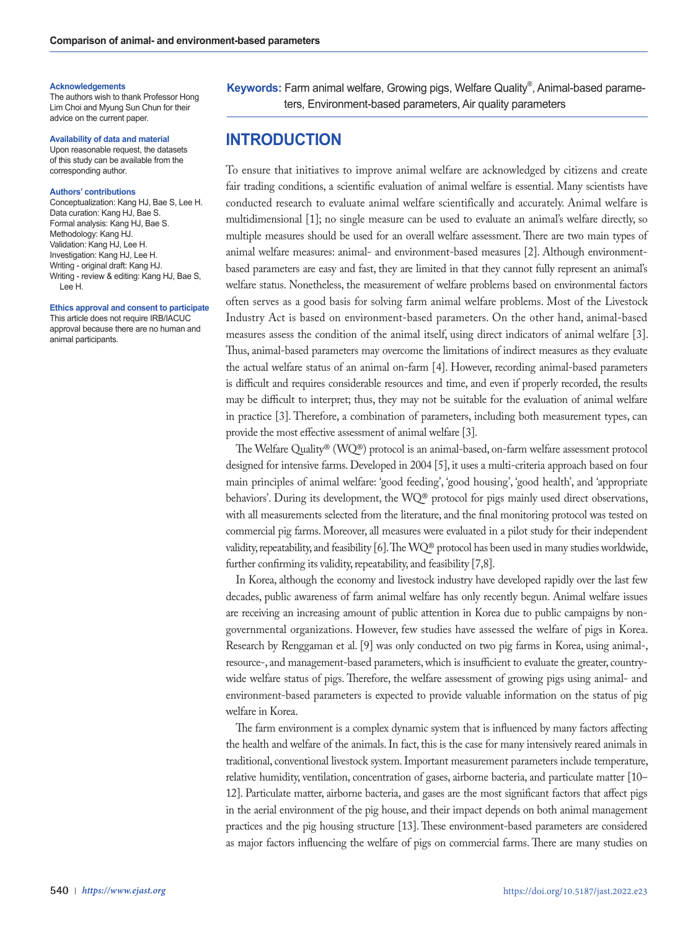#### **Acknowledgements**

The authors wish to thank Professor Hong Lim Choi and Myung Sun Chun for their advice on the current paper.

#### **Availability of data and material**

Upon reasonable request, the datasets of this study can be available from the corresponding author.

#### **Authors' contributions**

Conceptualization: Kang HJ, Bae S, Lee H. Data curation: Kang HJ, Bae S. Formal analysis: Kang HJ, Bae S. Methodology: Kang HJ. Validation: Kang HJ, Lee H. Investigation: Kang HJ, Lee H. Writing - original draft: Kang HJ. Writing - review & editing: Kang HJ, Bae S, Lee H.

**Ethics approval and consent to participate** This article does not require IRB/IACUC approval because there are no human and animal participants.

**Keywords:** Farm animal welfare, Growing pigs, Welfare Quality® , Animal-based parameters, Environment-based parameters, Air quality parameters

# **INTRODUCTION**

To ensure that initiatives to improve animal welfare are acknowledged by citizens and create fair trading conditions, a scientific evaluation of animal welfare is essential. Many scientists have conducted research to evaluate animal welfare scientifically and accurately. Animal welfare is multidimensional [1]; no single measure can be used to evaluate an animal's welfare directly, so multiple measures should be used for an overall welfare assessment. There are two main types of animal welfare measures: animal- and environment-based measures [2]. Although environmentbased parameters are easy and fast, they are limited in that they cannot fully represent an animal's welfare status. Nonetheless, the measurement of welfare problems based on environmental factors often serves as a good basis for solving farm animal welfare problems. Most of the Livestock Industry Act is based on environment-based parameters. On the other hand, animal-based measures assess the condition of the animal itself, using direct indicators of animal welfare [3]. Thus, animal-based parameters may overcome the limitations of indirect measures as they evaluate the actual welfare status of an animal on-farm [4]. However, recording animal-based parameters is difficult and requires considerable resources and time, and even if properly recorded, the results may be difficult to interpret; thus, they may not be suitable for the evaluation of animal welfare in practice [3]. Therefore, a combination of parameters, including both measurement types, can provide the most effective assessment of animal welfare [3].

The Welfare Quality® (WQ®) protocol is an animal-based, on-farm welfare assessment protocol designed for intensive farms. Developed in 2004 [5], it uses a multi-criteria approach based on four main principles of animal welfare: 'good feeding', 'good housing', 'good health', and 'appropriate behaviors'. During its development, the WQ® protocol for pigs mainly used direct observations, with all measurements selected from the literature, and the final monitoring protocol was tested on commercial pig farms. Moreover, all measures were evaluated in a pilot study for their independent validity, repeatability, and feasibility [6]. The WQ® protocol has been used in many studies worldwide, further confirming its validity, repeatability, and feasibility [7,8].

In Korea, although the economy and livestock industry have developed rapidly over the last few decades, public awareness of farm animal welfare has only recently begun. Animal welfare issues are receiving an increasing amount of public attention in Korea due to public campaigns by nongovernmental organizations. However, few studies have assessed the welfare of pigs in Korea. Research by Renggaman et al. [9] was only conducted on two pig farms in Korea, using animal-, resource-, and management-based parameters, which is insufficient to evaluate the greater, countrywide welfare status of pigs. Therefore, the welfare assessment of growing pigs using animal- and environment-based parameters is expected to provide valuable information on the status of pig welfare in Korea.

The farm environment is a complex dynamic system that is influenced by many factors affecting the health and welfare of the animals. In fact, this is the case for many intensively reared animals in traditional, conventional livestock system. Important measurement parameters include temperature, relative humidity, ventilation, concentration of gases, airborne bacteria, and particulate matter [10– 12]. Particulate matter, airborne bacteria, and gases are the most significant factors that affect pigs in the aerial environment of the pig house, and their impact depends on both animal management practices and the pig housing structure [13]. These environment-based parameters are considered as major factors influencing the welfare of pigs on commercial farms. There are many studies on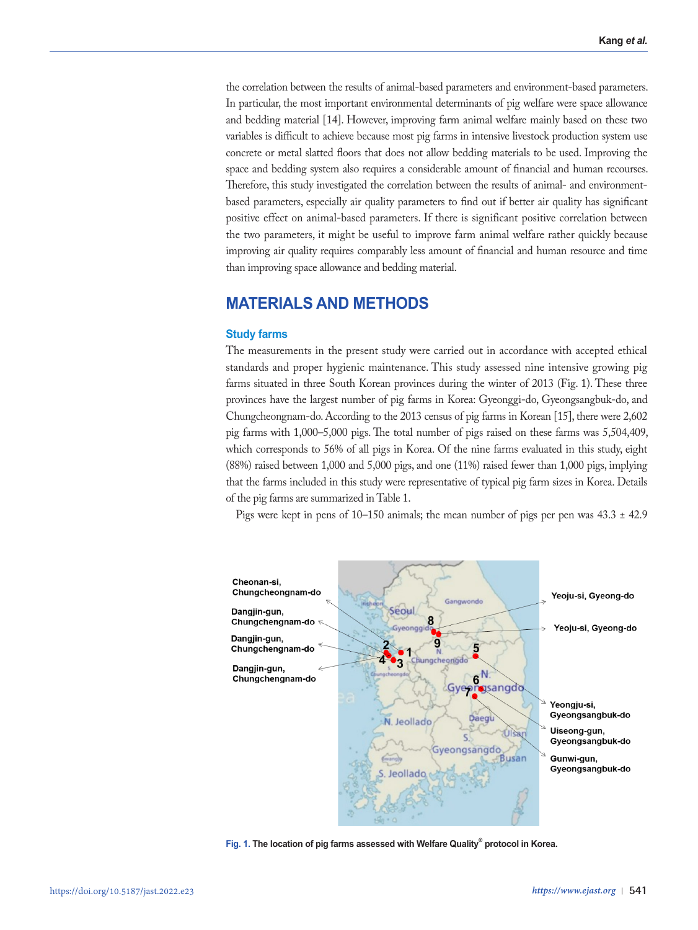the correlation between the results of animal-based parameters and environment-based parameters. In particular, the most important environmental determinants of pig welfare were space allowance and bedding material [14]. However, improving farm animal welfare mainly based on these two variables is difficult to achieve because most pig farms in intensive livestock production system use concrete or metal slatted floors that does not allow bedding materials to be used. Improving the space and bedding system also requires a considerable amount of financial and human recourses. Therefore, this study investigated the correlation between the results of animal- and environmentbased parameters, especially air quality parameters to find out if better air quality has significant positive effect on animal-based parameters. If there is significant positive correlation between the two parameters, it might be useful to improve farm animal welfare rather quickly because improving air quality requires comparably less amount of financial and human resource and time than improving space allowance and bedding material.

# **MATERIALS AND METHODS**

### **Study farms**

The measurements in the present study were carried out in accordance with accepted ethical standards and proper hygienic maintenance. This study assessed nine intensive growing pig farms situated in three South Korean provinces during the winter of 2013 (Fig. 1). These three provinces have the largest number of pig farms in Korea: Gyeonggi-do, Gyeongsangbuk-do, and Chungcheongnam-do. According to the 2013 census of pig farms in Korean [15], there were 2,602 pig farms with 1,000–5,000 pigs. The total number of pigs raised on these farms was 5,504,409, which corresponds to 56% of all pigs in Korea. Of the nine farms evaluated in this study, eight (88%) raised between 1,000 and 5,000 pigs, and one (11%) raised fewer than 1,000 pigs, implying that the farms included in this study were representative of typical pig farm sizes in Korea. Details of the pig farms are summarized in Table 1.

Pigs were kept in pens of  $10-150$  animals; the mean number of pigs per pen was  $43.3 \pm 42.9$ 



**Fig. 1. The location of pig farms assessed with Welfare Quality® protocol in Korea.**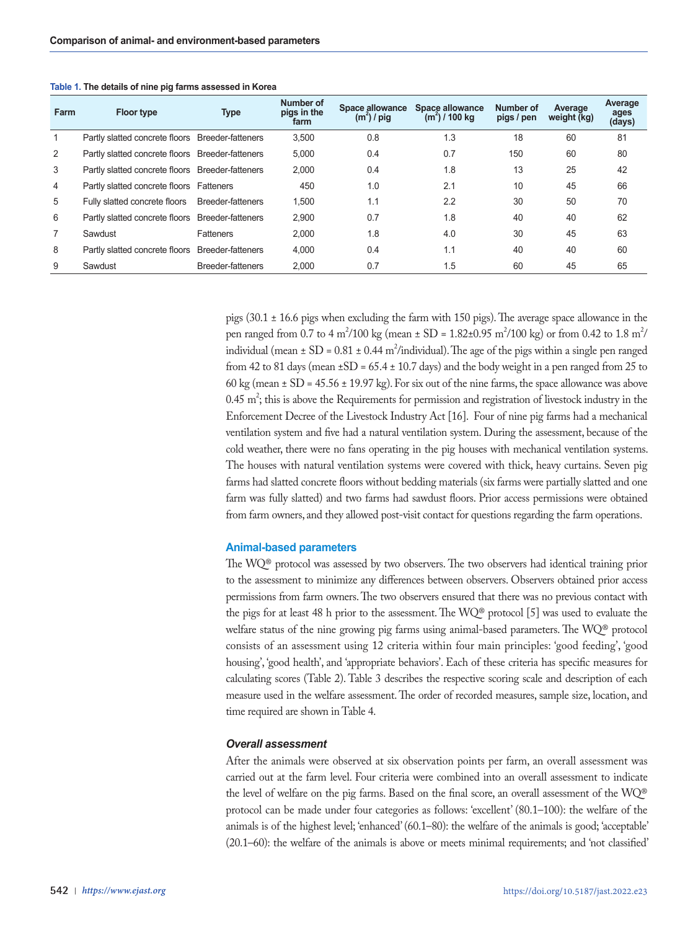| Farm           | <b>Floor type</b>                                | <b>Type</b>              | Number of<br>pigs in the<br>farm | Space allowance<br>$(m2)$ / pig | Space allowance<br>$(m2)$ / 100 kg | Number of<br>pigs / pen | Average<br>weight (kg) | Average<br>ages<br>(days) |
|----------------|--------------------------------------------------|--------------------------|----------------------------------|---------------------------------|------------------------------------|-------------------------|------------------------|---------------------------|
|                | Partly slatted concrete floors Breeder-fatteners |                          | 3.500                            | 0.8                             | 1.3                                | 18                      | 60                     | 81                        |
| 2              | Partly slatted concrete floors Breeder-fatteners |                          | 5.000                            | 0.4                             | 0.7                                | 150                     | 60                     | 80                        |
| 3              | Partly slatted concrete floors Breeder-fatteners |                          | 2.000                            | 0.4                             | 1.8                                | 13                      | 25                     | 42                        |
| $\overline{4}$ | Partly slatted concrete floors Fatteners         |                          | 450                              | 1.0                             | 2.1                                | 10                      | 45                     | 66                        |
| 5              | Fully slatted concrete floors Breeder-fatteners  |                          | 1.500                            | 1.1                             | 2.2                                | 30                      | 50                     | 70                        |
| 6              | Partly slatted concrete floors Breeder-fatteners |                          | 2.900                            | 0.7                             | 1.8                                | 40                      | 40                     | 62                        |
|                | Sawdust                                          | Fatteners                | 2.000                            | 1.8                             | 4.0                                | 30                      | 45                     | 63                        |
| 8              | Partly slatted concrete floors Breeder-fatteners |                          | 4.000                            | 0.4                             | 1.1                                | 40                      | 40                     | 60                        |
| 9              | Sawdust                                          | <b>Breeder-fatteners</b> | 2.000                            | 0.7                             | 1.5                                | 60                      | 45                     | 65                        |

**Table 1. The details of nine pig farms assessed in Korea**

pigs (30.1 ± 16.6 pigs when excluding the farm with 150 pigs). The average space allowance in the pen ranged from 0.7 to 4 m<sup>2</sup>/100 kg (mean ± SD = 1.82±0.95 m<sup>2</sup>/100 kg) or from 0.42 to 1.8 m<sup>2</sup>/ individual (mean  $\pm$  SD = 0.81  $\pm$  0.44 m<sup>2</sup>/individual). The age of the pigs within a single pen ranged from 42 to 81 days (mean  $\pm SD = 65.4 \pm 10.7$  days) and the body weight in a pen ranged from 25 to 60 kg (mean  $\pm$  SD = 45.56  $\pm$  19.97 kg). For six out of the nine farms, the space allowance was above  $0.45 \text{ m}^2$ ; this is above the Requirements for permission and registration of livestock industry in the Enforcement Decree of the Livestock Industry Act [16]. Four of nine pig farms had a mechanical ventilation system and five had a natural ventilation system. During the assessment, because of the cold weather, there were no fans operating in the pig houses with mechanical ventilation systems. The houses with natural ventilation systems were covered with thick, heavy curtains. Seven pig farms had slatted concrete floors without bedding materials (six farms were partially slatted and one farm was fully slatted) and two farms had sawdust floors. Prior access permissions were obtained from farm owners, and they allowed post-visit contact for questions regarding the farm operations.

### **Animal-based parameters**

The WQ® protocol was assessed by two observers. The two observers had identical training prior to the assessment to minimize any differences between observers. Observers obtained prior access permissions from farm owners. The two observers ensured that there was no previous contact with the pigs for at least 48 h prior to the assessment. The  $WQ^{\circledast}$  protocol [5] was used to evaluate the welfare status of the nine growing pig farms using animal-based parameters. The WQ® protocol consists of an assessment using 12 criteria within four main principles: 'good feeding', 'good housing', 'good health', and 'appropriate behaviors'. Each of these criteria has specific measures for calculating scores (Table 2). Table 3 describes the respective scoring scale and description of each measure used in the welfare assessment. The order of recorded measures, sample size, location, and time required are shown in Table 4.

### *Overall assessment*

After the animals were observed at six observation points per farm, an overall assessment was carried out at the farm level. Four criteria were combined into an overall assessment to indicate the level of welfare on the pig farms. Based on the final score, an overall assessment of the WQ® protocol can be made under four categories as follows: 'excellent' (80.1–100): the welfare of the animals is of the highest level; 'enhanced' (60.1–80): the welfare of the animals is good; 'acceptable' (20.1–60): the welfare of the animals is above or meets minimal requirements; and 'not classified'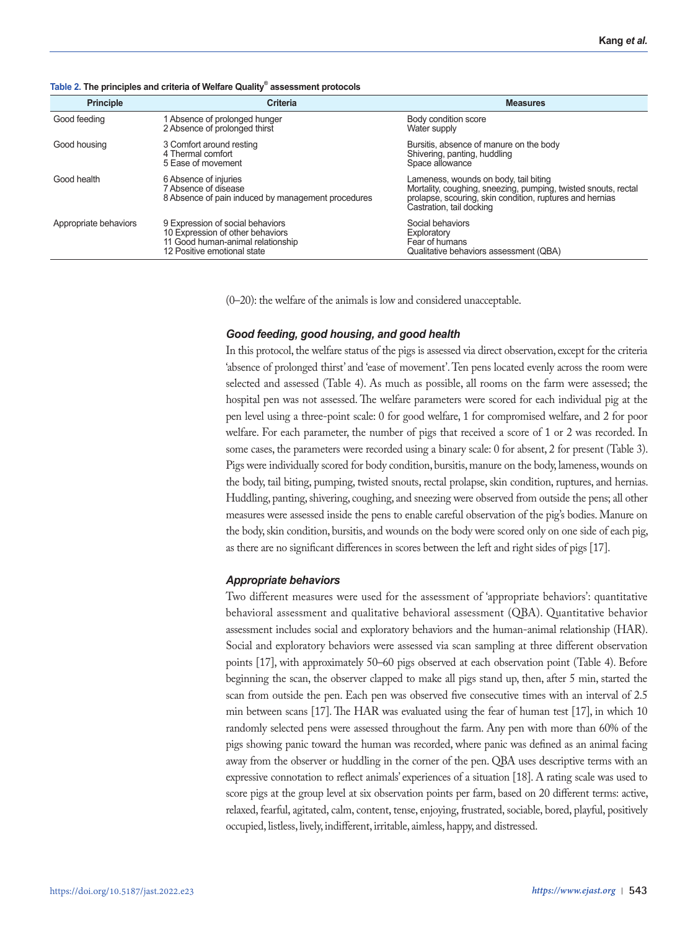| <b>Principle</b>      | <b>Criteria</b>                                                                                                                          | <b>Measures</b>                                                                                                                                                                                 |
|-----------------------|------------------------------------------------------------------------------------------------------------------------------------------|-------------------------------------------------------------------------------------------------------------------------------------------------------------------------------------------------|
| Good feeding          | 1 Absence of prolonged hunger<br>2 Absence of prolonged thirst                                                                           | Body condition score<br>Water supply                                                                                                                                                            |
| Good housing          | 3 Comfort around resting<br>4 Thermal comfort<br>5 Ease of movement                                                                      | Bursitis, absence of manure on the body<br>Shivering, panting, huddling<br>Space allowance                                                                                                      |
| Good health           | 6 Absence of injuries<br>7 Absence of disease<br>8 Absence of pain induced by management procedures                                      | Lameness, wounds on body, tail biting<br>Mortality, coughing, sneezing, pumping, twisted snouts, rectal<br>prolapse, scouring, skin condition, ruptures and hernias<br>Castration, tail docking |
| Appropriate behaviors | 9 Expression of social behaviors<br>10 Expression of other behaviors<br>11 Good human-animal relationship<br>12 Positive emotional state | Social behaviors<br>Exploratory<br>Fear of humans<br>Qualitative behaviors assessment (QBA)                                                                                                     |

### **Table 2. The principles and criteria of Welfare Quality® assessment protocols**

(0–20): the welfare of the animals is low and considered unacceptable.

### *Good feeding, good housing, and good health*

In this protocol, the welfare status of the pigs is assessed via direct observation, except for the criteria 'absence of prolonged thirst' and 'ease of movement'. Ten pens located evenly across the room were selected and assessed (Table 4). As much as possible, all rooms on the farm were assessed; the hospital pen was not assessed. The welfare parameters were scored for each individual pig at the pen level using a three-point scale: 0 for good welfare, 1 for compromised welfare, and 2 for poor welfare. For each parameter, the number of pigs that received a score of 1 or 2 was recorded. In some cases, the parameters were recorded using a binary scale: 0 for absent, 2 for present (Table 3). Pigs were individually scored for body condition, bursitis, manure on the body, lameness, wounds on the body, tail biting, pumping, twisted snouts, rectal prolapse, skin condition, ruptures, and hernias. Huddling, panting, shivering, coughing, and sneezing were observed from outside the pens; all other measures were assessed inside the pens to enable careful observation of the pig's bodies. Manure on the body, skin condition, bursitis, and wounds on the body were scored only on one side of each pig, as there are no significant differences in scores between the left and right sides of pigs [17].

### *Appropriate behaviors*

Two different measures were used for the assessment of 'appropriate behaviors': quantitative behavioral assessment and qualitative behavioral assessment (QBA). Quantitative behavior assessment includes social and exploratory behaviors and the human-animal relationship (HAR). Social and exploratory behaviors were assessed via scan sampling at three different observation points [17], with approximately 50–60 pigs observed at each observation point (Table 4). Before beginning the scan, the observer clapped to make all pigs stand up, then, after 5 min, started the scan from outside the pen. Each pen was observed five consecutive times with an interval of 2.5 min between scans [17]. The HAR was evaluated using the fear of human test [17], in which 10 randomly selected pens were assessed throughout the farm. Any pen with more than 60% of the pigs showing panic toward the human was recorded, where panic was defined as an animal facing away from the observer or huddling in the corner of the pen. QBA uses descriptive terms with an expressive connotation to reflect animals' experiences of a situation [18]. A rating scale was used to score pigs at the group level at six observation points per farm, based on 20 different terms: active, relaxed, fearful, agitated, calm, content, tense, enjoying, frustrated, sociable, bored, playful, positively occupied, listless, lively, indifferent, irritable, aimless, happy, and distressed.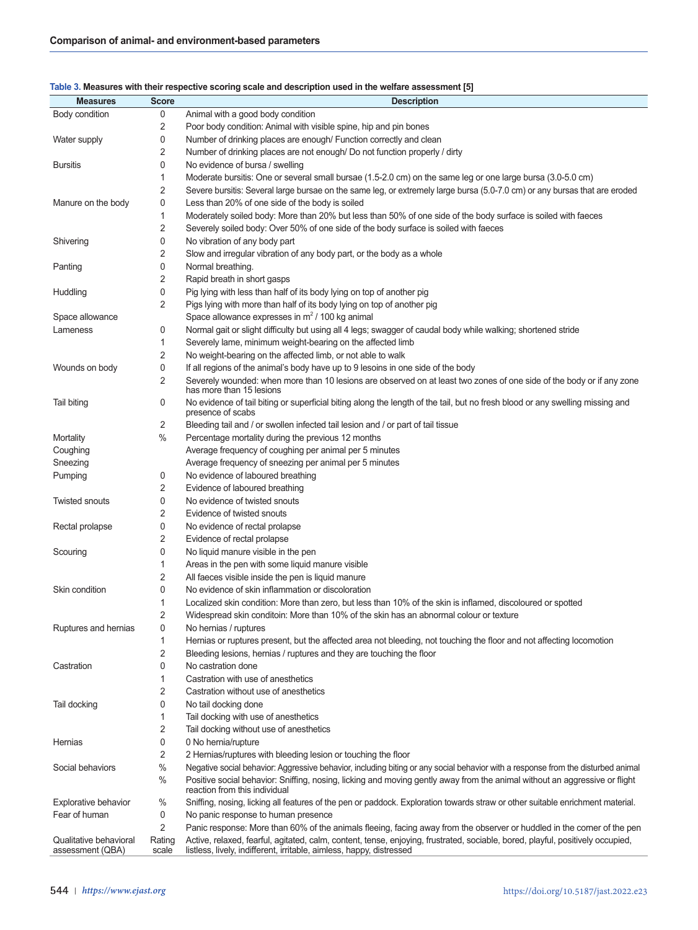| Table 3. Measures with their respective scoring scale and description used in the welfare assessment [5] |  |
|----------------------------------------------------------------------------------------------------------|--|
|----------------------------------------------------------------------------------------------------------|--|

| <b>Measures</b>                            | <b>Score</b>    | <b>Description</b>                                                                                                                                                                                     |
|--------------------------------------------|-----------------|--------------------------------------------------------------------------------------------------------------------------------------------------------------------------------------------------------|
| Body condition                             | 0               | Animal with a good body condition                                                                                                                                                                      |
|                                            | 2               | Poor body condition: Animal with visible spine, hip and pin bones                                                                                                                                      |
| Water supply                               | 0               | Number of drinking places are enough/ Function correctly and clean                                                                                                                                     |
|                                            | $\overline{2}$  | Number of drinking places are not enough/ Do not function properly / dirty                                                                                                                             |
| <b>Bursitis</b>                            | 0               | No evidence of bursa / swelling                                                                                                                                                                        |
|                                            | 1               | Moderate bursitis: One or several small bursae (1.5-2.0 cm) on the same leg or one large bursa (3.0-5.0 cm)                                                                                            |
|                                            | $\overline{2}$  | Severe bursitis: Several large bursae on the same leg, or extremely large bursa (5.0-7.0 cm) or any bursas that are eroded                                                                             |
| Manure on the body                         | 0               | Less than 20% of one side of the body is soiled                                                                                                                                                        |
|                                            | 1               | Moderately soiled body: More than 20% but less than 50% of one side of the body surface is soiled with faeces                                                                                          |
|                                            | $\overline{2}$  | Severely soiled body: Over 50% of one side of the body surface is soiled with faeces                                                                                                                   |
| Shivering                                  | 0               | No vibration of any body part                                                                                                                                                                          |
|                                            | 2               | Slow and irregular vibration of any body part, or the body as a whole                                                                                                                                  |
| Panting                                    | 0               | Normal breathing.                                                                                                                                                                                      |
|                                            | $\overline{2}$  | Rapid breath in short gasps                                                                                                                                                                            |
| Huddling                                   | 0               | Pig lying with less than half of its body lying on top of another pig                                                                                                                                  |
|                                            | 2               | Pigs lying with more than half of its body lying on top of another pig                                                                                                                                 |
| Space allowance                            |                 | Space allowance expresses in $m^2/100$ kg animal                                                                                                                                                       |
| Lameness                                   | 0               | Normal gait or slight difficulty but using all 4 legs; swagger of caudal body while walking; shortened stride                                                                                          |
|                                            | 1               | Severely lame, minimum weight-bearing on the affected limb                                                                                                                                             |
|                                            | 2               | No weight-bearing on the affected limb, or not able to walk                                                                                                                                            |
| Wounds on body                             | 0               | If all regions of the animal's body have up to 9 lesoins in one side of the body                                                                                                                       |
|                                            | 2               | Severely wounded: when more than 10 lesions are observed on at least two zones of one side of the body or if any zone                                                                                  |
|                                            |                 | has more than 15 lesions                                                                                                                                                                               |
| Tail biting                                | 0               | No evidence of tail biting or superficial biting along the length of the tail, but no fresh blood or any swelling missing and<br>presence of scabs                                                     |
|                                            | 2               | Bleeding tail and / or swollen infected tail lesion and / or part of tail tissue                                                                                                                       |
| Mortality                                  | %               | Percentage mortality during the previous 12 months                                                                                                                                                     |
| Coughing                                   |                 | Average frequency of coughing per animal per 5 minutes                                                                                                                                                 |
| Sneezing                                   |                 | Average frequency of sneezing per animal per 5 minutes                                                                                                                                                 |
| Pumping                                    | 0               | No evidence of laboured breathing                                                                                                                                                                      |
|                                            | $\overline{2}$  | Evidence of laboured breathing                                                                                                                                                                         |
| <b>Twisted snouts</b>                      | 0               | No evidence of twisted snouts                                                                                                                                                                          |
|                                            | 2               | Evidence of twisted snouts                                                                                                                                                                             |
| Rectal prolapse                            | 0               | No evidence of rectal prolapse                                                                                                                                                                         |
|                                            | $\overline{2}$  | Evidence of rectal prolapse                                                                                                                                                                            |
| Scouring                                   | 0               | No liquid manure visible in the pen                                                                                                                                                                    |
|                                            | 1               | Areas in the pen with some liquid manure visible                                                                                                                                                       |
|                                            | $\overline{2}$  | All faeces visible inside the pen is liquid manure                                                                                                                                                     |
| Skin condition                             | 0               | No evidence of skin inflammation or discoloration                                                                                                                                                      |
|                                            | 1               | Localized skin condition: More than zero, but less than 10% of the skin is inflamed, discoloured or spotted                                                                                            |
|                                            | 2               | Widespread skin conditoin: More than 10% of the skin has an abnormal colour or texture                                                                                                                 |
| Ruptures and hernias                       | 0               | No hernias / ruptures                                                                                                                                                                                  |
|                                            | 1               | Hernias or ruptures present, but the affected area not bleeding, not touching the floor and not affecting locomotion                                                                                   |
|                                            | 2               | Bleeding lesions, hernias / ruptures and they are touching the floor                                                                                                                                   |
| Castration                                 | 0               | No castration done                                                                                                                                                                                     |
|                                            | 1               | Castration with use of anesthetics                                                                                                                                                                     |
|                                            | 2               | Castration without use of anesthetics                                                                                                                                                                  |
| Tail docking                               | 0               | No tail docking done                                                                                                                                                                                   |
|                                            | 1               | Tail docking with use of anesthetics                                                                                                                                                                   |
|                                            | 2               | Tail docking without use of anesthetics                                                                                                                                                                |
| Hernias                                    | 0               | 0 No hernia/rupture                                                                                                                                                                                    |
|                                            | 2               | 2 Hernias/ruptures with bleeding lesion or touching the floor                                                                                                                                          |
| Social behaviors                           | $\%$            | Negative social behavior: Aggressive behavior, including biting or any social behavior with a response from the disturbed animal                                                                       |
|                                            | %               | Positive social behavior: Sniffing, nosing, licking and moving gently away from the animal without an aggressive or flight<br>reaction from this individual                                            |
| Explorative behavior                       | %               | Sniffing, nosing, licking all features of the pen or paddock. Exploration towards straw or other suitable enrichment material.                                                                         |
| Fear of human                              | 0               | No panic response to human presence                                                                                                                                                                    |
|                                            | 2               | Panic response: More than 60% of the animals fleeing, facing away from the observer or huddled in the corner of the pen                                                                                |
| Qualitative behavioral<br>assessment (QBA) | Rating<br>scale | Active, relaxed, fearful, agitated, calm, content, tense, enjoying, frustrated, sociable, bored, playful, positively occupied,<br>listless, lively, indifferent, irritable, aimless, happy, distressed |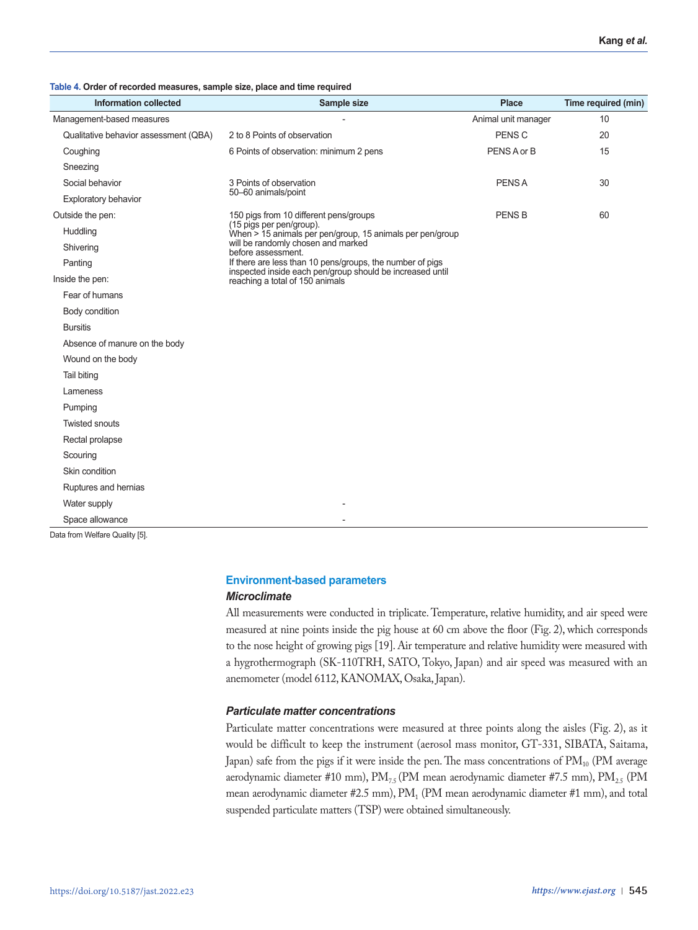**Table 4. Order of recorded measures, sample size, place and time required**

| <b>Information collected</b>          | Sample size                                                                                                            | <b>Place</b>        | Time required (min) |
|---------------------------------------|------------------------------------------------------------------------------------------------------------------------|---------------------|---------------------|
| Management-based measures             |                                                                                                                        | Animal unit manager | 10                  |
| Qualitative behavior assessment (QBA) | 2 to 8 Points of observation                                                                                           | PENS <sub>C</sub>   | 20                  |
| Coughing                              | 6 Points of observation: minimum 2 pens                                                                                | PENS A or B         | 15                  |
| Sneezing                              |                                                                                                                        |                     |                     |
| Social behavior                       | 3 Points of observation                                                                                                | <b>PENSA</b>        | 30                  |
| <b>Exploratory behavior</b>           | 50-60 animals/point                                                                                                    |                     |                     |
| Outside the pen:                      | 150 pigs from 10 different pens/groups                                                                                 | <b>PENS B</b>       | 60                  |
| Huddling                              | (15 pigs per pen/group).<br>When > 15 animals per pen/group, 15 animals per pen/group                                  |                     |                     |
| Shivering                             | will be randomly chosen and marked<br>before assessment.                                                               |                     |                     |
| Panting                               | If there are less than 10 pens/groups, the number of pigs<br>inspected inside each pen/group should be increased until |                     |                     |
| Inside the pen:                       | reaching a total of 150 animals                                                                                        |                     |                     |
| Fear of humans                        |                                                                                                                        |                     |                     |
| Body condition                        |                                                                                                                        |                     |                     |
| <b>Bursitis</b>                       |                                                                                                                        |                     |                     |
| Absence of manure on the body         |                                                                                                                        |                     |                     |
| Wound on the body                     |                                                                                                                        |                     |                     |
| Tail biting                           |                                                                                                                        |                     |                     |
| Lameness                              |                                                                                                                        |                     |                     |
| Pumping                               |                                                                                                                        |                     |                     |
| <b>Twisted snouts</b>                 |                                                                                                                        |                     |                     |
| Rectal prolapse                       |                                                                                                                        |                     |                     |
| Scouring                              |                                                                                                                        |                     |                     |
| Skin condition                        |                                                                                                                        |                     |                     |
| Ruptures and hernias                  |                                                                                                                        |                     |                     |
| Water supply                          |                                                                                                                        |                     |                     |
| Space allowance                       |                                                                                                                        |                     |                     |
| Data from Welfare Quality [5].        |                                                                                                                        |                     |                     |

# **Environment-based parameters**

### *Microclimate*

All measurements were conducted in triplicate. Temperature, relative humidity, and air speed were measured at nine points inside the pig house at 60 cm above the floor (Fig. 2), which corresponds to the nose height of growing pigs [19]. Air temperature and relative humidity were measured with a hygrothermograph (SK-110TRH, SATO, Tokyo, Japan) and air speed was measured with an anemometer (model 6112, KANOMAX, Osaka, Japan).

# *Particulate matter concentrations*

Particulate matter concentrations were measured at three points along the aisles (Fig. 2), as it would be difficult to keep the instrument (aerosol mass monitor, GT-331, SIBATA, Saitama, Japan) safe from the pigs if it were inside the pen. The mass concentrations of  $PM_{10}$  (PM average aerodynamic diameter #10 mm),  $PM_{7.5}$  (PM mean aerodynamic diameter #7.5 mm),  $PM_{2.5}$  (PM mean aerodynamic diameter #2.5 mm), PM<sub>1</sub> (PM mean aerodynamic diameter #1 mm), and total suspended particulate matters (TSP) were obtained simultaneously.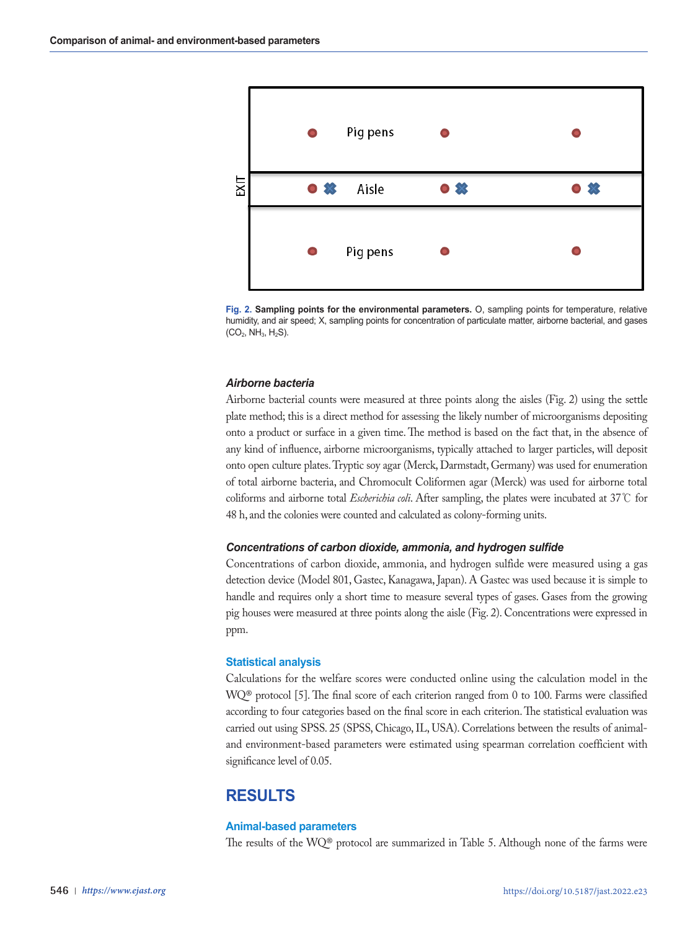

**Fig. 2. Sampling points for the environmental parameters.** Օ, sampling points for temperature, relative humidity, and air speed; X, sampling points for concentration of particulate matter, airborne bacterial, and gases  $(CO_2, NH_3, H_2S)$ .

# *Airborne bacteria*

Airborne bacterial counts were measured at three points along the aisles (Fig. 2) using the settle plate method; this is a direct method for assessing the likely number of microorganisms depositing onto a product or surface in a given time. The method is based on the fact that, in the absence of any kind of influence, airborne microorganisms, typically attached to larger particles, will deposit onto open culture plates. Tryptic soy agar (Merck, Darmstadt, Germany) was used for enumeration of total airborne bacteria, and Chromocult Coliformen agar (Merck) was used for airborne total coliforms and airborne total *Escherichia coli*. After sampling, the plates were incubated at 37℃ for 48 h, and the colonies were counted and calculated as colony-forming units.

### *Concentrations of carbon dioxide, ammonia, and hydrogen sulfide*

Concentrations of carbon dioxide, ammonia, and hydrogen sulfide were measured using a gas detection device (Model 801, Gastec, Kanagawa, Japan). A Gastec was used because it is simple to handle and requires only a short time to measure several types of gases. Gases from the growing pig houses were measured at three points along the aisle (Fig. 2). Concentrations were expressed in ppm.

### **Statistical analysis**

Calculations for the welfare scores were conducted online using the calculation model in the WQ® protocol [5]. The final score of each criterion ranged from 0 to 100. Farms were classified according to four categories based on the final score in each criterion. The statistical evaluation was carried out using SPSS. 25 (SPSS, Chicago, IL, USA). Correlations between the results of animaland environment-based parameters were estimated using spearman correlation coefficient with significance level of 0.05.

# **RESULTS**

# **Animal-based parameters**

The results of the WQ® protocol are summarized in Table 5. Although none of the farms were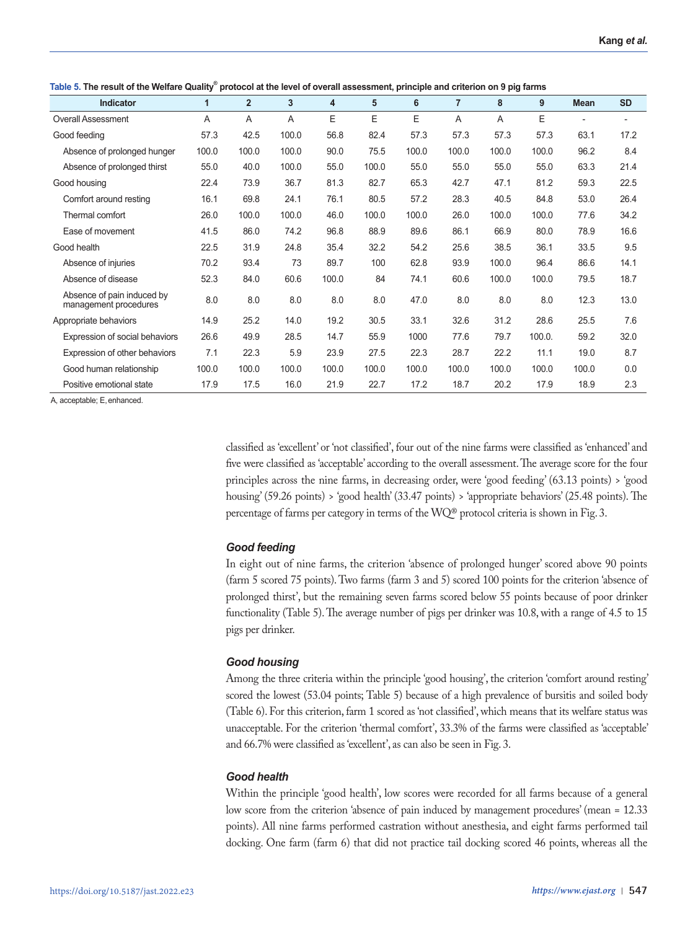**Table 5. The result of the Welfare Quality® protocol at the level of overall assessment, principle and criterion on 9 pig farms**

|                                                     |              | $\overline{2}$ |       |       |       |       | $\overline{7}$ |       | 9      |             |           |
|-----------------------------------------------------|--------------|----------------|-------|-------|-------|-------|----------------|-------|--------|-------------|-----------|
| Indicator                                           | $\mathbf{1}$ |                | 3     | 4     | 5     | 6     |                | 8     |        | <b>Mean</b> | <b>SD</b> |
| <b>Overall Assessment</b>                           | A            | A              | A     | E     | Ε     | E     | A              | A     | E      |             |           |
| Good feeding                                        | 57.3         | 42.5           | 100.0 | 56.8  | 82.4  | 57.3  | 57.3           | 57.3  | 57.3   | 63.1        | 17.2      |
| Absence of prolonged hunger                         | 100.0        | 100.0          | 100.0 | 90.0  | 75.5  | 100.0 | 100.0          | 100.0 | 100.0  | 96.2        | 8.4       |
| Absence of prolonged thirst                         | 55.0         | 40.0           | 100.0 | 55.0  | 100.0 | 55.0  | 55.0           | 55.0  | 55.0   | 63.3        | 21.4      |
| Good housing                                        | 22.4         | 73.9           | 36.7  | 81.3  | 82.7  | 65.3  | 42.7           | 47.1  | 81.2   | 59.3        | 22.5      |
| Comfort around resting                              | 16.1         | 69.8           | 24.1  | 76.1  | 80.5  | 57.2  | 28.3           | 40.5  | 84.8   | 53.0        | 26.4      |
| Thermal comfort                                     | 26.0         | 100.0          | 100.0 | 46.0  | 100.0 | 100.0 | 26.0           | 100.0 | 100.0  | 77.6        | 34.2      |
| Ease of movement                                    | 41.5         | 86.0           | 74.2  | 96.8  | 88.9  | 89.6  | 86.1           | 66.9  | 80.0   | 78.9        | 16.6      |
| Good health                                         | 22.5         | 31.9           | 24.8  | 35.4  | 32.2  | 54.2  | 25.6           | 38.5  | 36.1   | 33.5        | 9.5       |
| Absence of injuries                                 | 70.2         | 93.4           | 73    | 89.7  | 100   | 62.8  | 93.9           | 100.0 | 96.4   | 86.6        | 14.1      |
| Absence of disease                                  | 52.3         | 84.0           | 60.6  | 100.0 | 84    | 74.1  | 60.6           | 100.0 | 100.0  | 79.5        | 18.7      |
| Absence of pain induced by<br>management procedures | 8.0          | 8.0            | 8.0   | 8.0   | 8.0   | 47.0  | 8.0            | 8.0   | 8.0    | 12.3        | 13.0      |
| Appropriate behaviors                               | 14.9         | 25.2           | 14.0  | 19.2  | 30.5  | 33.1  | 32.6           | 31.2  | 28.6   | 25.5        | 7.6       |
| Expression of social behaviors                      | 26.6         | 49.9           | 28.5  | 14.7  | 55.9  | 1000  | 77.6           | 79.7  | 100.0. | 59.2        | 32.0      |
| Expression of other behaviors                       | 7.1          | 22.3           | 5.9   | 23.9  | 27.5  | 22.3  | 28.7           | 22.2  | 11.1   | 19.0        | 8.7       |
| Good human relationship                             | 100.0        | 100.0          | 100.0 | 100.0 | 100.0 | 100.0 | 100.0          | 100.0 | 100.0  | 100.0       | 0.0       |
| Positive emotional state                            | 17.9         | 17.5           | 16.0  | 21.9  | 22.7  | 17.2  | 18.7           | 20.2  | 17.9   | 18.9        | 2.3       |

A, acceptable; E,enhanced.

classified as 'excellent' or 'not classified', four out of the nine farms were classified as 'enhanced' and five were classified as 'acceptable' according to the overall assessment. The average score for the four principles across the nine farms, in decreasing order, were 'good feeding' (63.13 points) > 'good housing' (59.26 points) > 'good health' (33.47 points) > 'appropriate behaviors' (25.48 points). The percentage of farms per category in terms of the WQ® protocol criteria is shown in Fig. 3.

# *Good feeding*

In eight out of nine farms, the criterion 'absence of prolonged hunger' scored above 90 points (farm 5 scored 75 points). Two farms (farm 3 and 5) scored 100 points for the criterion 'absence of prolonged thirst', but the remaining seven farms scored below 55 points because of poor drinker functionality (Table 5). The average number of pigs per drinker was 10.8, with a range of 4.5 to 15 pigs per drinker.

# *Good housing*

Among the three criteria within the principle 'good housing', the criterion 'comfort around resting' scored the lowest (53.04 points; Table 5) because of a high prevalence of bursitis and soiled body (Table 6). For this criterion, farm 1 scored as 'not classified', which means that its welfare status was unacceptable. For the criterion 'thermal comfort', 33.3% of the farms were classified as 'acceptable' and 66.7% were classified as 'excellent', as can also be seen in Fig. 3.

# *Good health*

Within the principle 'good health', low scores were recorded for all farms because of a general low score from the criterion 'absence of pain induced by management procedures' (mean = 12.33 points). All nine farms performed castration without anesthesia, and eight farms performed tail docking. One farm (farm 6) that did not practice tail docking scored 46 points, whereas all the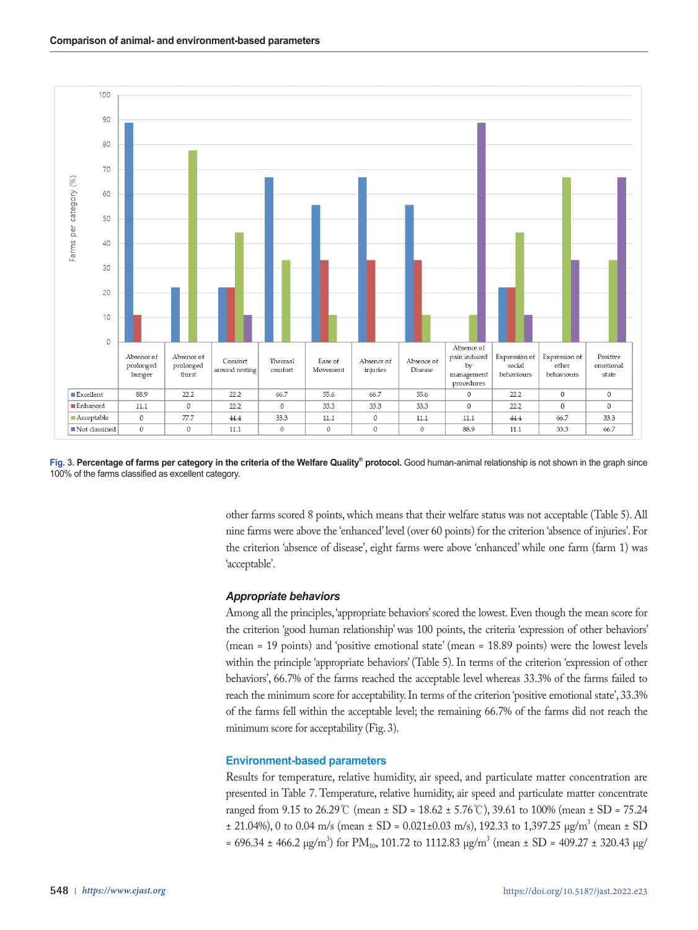

Fig. 3. Percentage of farms per category in the criteria of the Welfare Quality<sup>®</sup> protocol. Good human-animal relationship is not shown in the graph since 100% of the farms classified as excellent category.

other farms scored 8 points, which means that their welfare status was not acceptable (Table 5). All nine farms were above the 'enhanced' level (over 60 points) for the criterion 'absence of injuries'. For the criterion 'absence of disease', eight farms were above 'enhanced' while one farm (farm 1) was 'acceptable'.

### *Appropriate behaviors*

Among all the principles, 'appropriate behaviors' scored the lowest. Even though the mean score for the criterion 'good human relationship' was 100 points, the criteria 'expression of other behaviors' (mean = 19 points) and 'positive emotional state' (mean = 18.89 points) were the lowest levels within the principle 'appropriate behaviors' (Table 5). In terms of the criterion 'expression of other behaviors', 66.7% of the farms reached the acceptable level whereas 33.3% of the farms failed to reach the minimum score for acceptability. In terms of the criterion 'positive emotional state', 33.3% of the farms fell within the acceptable level; the remaining 66.7% of the farms did not reach the minimum score for acceptability (Fig. 3).

### **Environment-based parameters**

Results for temperature, relative humidity, air speed, and particulate matter concentration are presented in Table 7. Temperature, relative humidity, air speed and particulate matter concentrate ranged from 9.15 to 26.29℃ (mean ± SD = 18.62 ± 5.76℃), 39.61 to 100% (mean ± SD = 75.24  $\pm$  21.04%), 0 to 0.04 m/s (mean  $\pm$  SD = 0.021 $\pm$ 0.03 m/s), 192.33 to 1,397.25  $\mu$ g/m<sup>3</sup> (mean  $\pm$  SD  $= 696.34 \pm 466.2 \text{ µg/m}^3$ ) for PM<sub>10</sub>, 101.72 to 1112.83  $\mu$ g/m<sup>3</sup> (mean  $\pm$  SD = 409.27  $\pm$  320.43  $\mu$ g/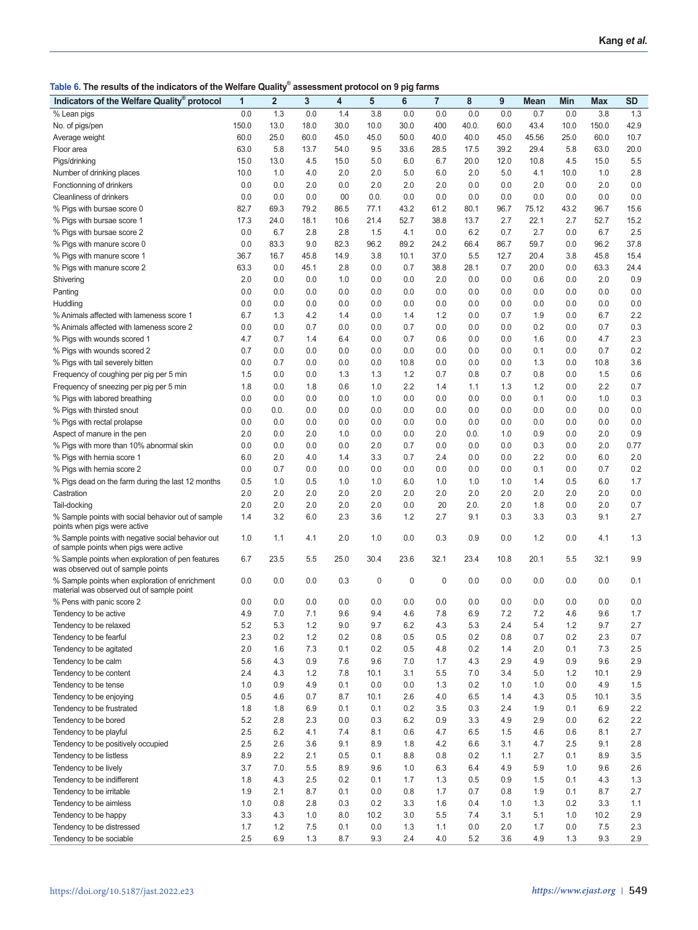**Table 6. The results of the indicators of the Welfare Quality® assessment protocol on 9 pig farms**

| Indicators of the Welfare Quality® protocol                                                 | 1     | $\overline{2}$ | 3    | 4    | 5    | 6    | 7    | 8     | 9    | Mean  | Min  | <b>Max</b> | <b>SD</b> |
|---------------------------------------------------------------------------------------------|-------|----------------|------|------|------|------|------|-------|------|-------|------|------------|-----------|
| % Lean pigs                                                                                 | 0.0   | 1.3            | 0.0  | 1.4  | 3.8  | 0.0  | 0.0  | 0.0   | 0.0  | 0.7   | 0.0  | 3.8        | 1.3       |
| No. of pigs/pen                                                                             | 150.0 | 13.0           | 18.0 | 30.0 | 10.0 | 30.0 | 400  | 40.0. | 60.0 | 43.4  | 10.0 | 150.0      | 42.9      |
|                                                                                             | 60.0  | 25.0           | 60.0 | 45.0 | 45.0 | 50.0 | 40.0 | 40.0  | 45.0 | 45.56 | 25.0 | 60.0       | 10.7      |
| Average weight                                                                              |       |                |      |      |      |      |      |       |      |       |      |            | 20.0      |
| Floor area                                                                                  | 63.0  | 5.8            | 13.7 | 54.0 | 9.5  | 33.6 | 28.5 | 17.5  | 39.2 | 29.4  | 5.8  | 63.0       |           |
| Pigs/drinking                                                                               | 15.0  | 13.0           | 4.5  | 15.0 | 5.0  | 6.0  | 6.7  | 20.0  | 12.0 | 10.8  | 4.5  | 15.0       | 5.5       |
| Number of drinking places                                                                   | 10.0  | 1.0            | 4.0  | 2.0  | 2.0  | 5.0  | 6.0  | 2.0   | 5.0  | 4.1   | 10.0 | 1.0        | 2.8       |
| Fonctionning of drinkers                                                                    | 0.0   | 0.0            | 2.0  | 0.0  | 2.0  | 2.0  | 2.0  | 0.0   | 0.0  | 2.0   | 0.0  | 2.0        | 0.0       |
| Cleanliness of drinkers                                                                     | 0.0   | 0.0            | 0.0  | 00   | 0.0. | 0.0  | 0.0  | 0.0   | 0.0  | 0.0   | 0.0  | 0.0        | 0.0       |
| % Pigs with bursae score 0                                                                  | 82.7  | 69.3           | 79.2 | 86.5 | 77.1 | 43.2 | 61.2 | 80.1  | 96.7 | 75.12 | 43.2 | 96.7       | 15.6      |
| % Pigs with bursae score 1                                                                  | 17.3  | 24.0           | 18.1 | 10.6 | 21.4 | 52.7 | 38.8 | 13.7  | 2.7  | 22.1  | 2.7  | 52.7       | 15.2      |
| % Pigs with bursae score 2                                                                  | 0.0   | 6.7            | 2.8  | 2.8  | 1.5  | 4.1  | 0.0  | 6.2   | 0.7  | 2.7   | 0.0  | 6.7        | 2.5       |
| % Pigs with manure score 0                                                                  | 0.0   | 83.3           | 9.0  | 82.3 | 96.2 | 89.2 | 24.2 | 66.4  | 86.7 | 59.7  | 0.0  | 96.2       | 37.8      |
| % Pigs with manure score 1                                                                  | 36.7  | 16.7           | 45.8 | 14.9 | 3.8  | 10.1 | 37.0 | 5.5   | 12.7 | 20.4  | 3.8  | 45.8       | 15.4      |
| % Pigs with manure score 2                                                                  | 63.3  | 0.0            | 45.1 | 2.8  | 0.0  | 0.7  | 38.8 | 28.1  | 0.7  | 20.0  | 0.0  | 63.3       | 24.4      |
| Shivering                                                                                   | 2.0   | 0.0            | 0.0  | 1.0  | 0.0  | 0.0  | 2.0  | 0.0   | 0.0  | 0.6   | 0.0  | 2.0        | 0.9       |
| Panting                                                                                     | 0.0   | 0.0            | 0.0  | 0.0  | 0.0  | 0.0  | 0.0  | 0.0   | 0.0  | 0.0   | 0.0  | 0.0        | 0.0       |
| Huddling                                                                                    | 0.0   | 0.0            | 0.0  | 0.0  | 0.0  | 0.0  | 0.0  | 0.0   | 0.0  | 0.0   | 0.0  | 0.0        | 0.0       |
| % Animals affected with lameness score 1                                                    | 6.7   | 1.3            | 4.2  | 1.4  | 0.0  | 1.4  | 1.2  | 0.0   | 0.7  | 1.9   | 0.0  | 6.7        | 2.2       |
| % Animals affected with lameness score 2                                                    | 0.0   | 0.0            | 0.7  | 0.0  | 0.0  | 0.7  | 0.0  | 0.0   | 0.0  | 0.2   | 0.0  | 0.7        | 0.3       |
| % Pigs with wounds scored 1                                                                 | 4.7   | 0.7            | 1.4  | 6.4  | 0.0  | 0.7  | 0.6  | 0.0   | 0.0  | 1.6   | 0.0  | 4.7        | 2.3       |
| % Pigs with wounds scored 2                                                                 | 0.7   | 0.0            | 0.0  | 0.0  | 0.0  | 0.0  | 0.0  | 0.0   | 0.0  | 0.1   | 0.0  | 0.7        | 0.2       |
| % Pigs with tail severely bitten                                                            | 0.0   | 0.7            | 0.0  | 0.0  | 0.0  | 10.8 | 0.0  | 0.0   | 0.0  | 1.3   | 0.0  | 10.8       | 3.6       |
| Frequency of coughing per pig per 5 min                                                     | 1.5   | 0.0            | 0.0  | 1.3  | 1.3  | 1.2  | 0.7  | 0.8   | 0.7  | 0.8   | 0.0  | 1.5        | 0.6       |
| Frequency of sneezing per pig per 5 min                                                     | 1.8   | 0.0            | 1.8  | 0.6  | 1.0  | 2.2  | 1.4  | 1.1   | 1.3  | 1.2   | 0.0  | 2.2        | 0.7       |
| % Pigs with labored breathing                                                               | 0.0   | 0.0            | 0.0  | 0.0  | 1.0  | 0.0  | 0.0  | 0.0   | 0.0  | 0.1   | 0.0  | 1.0        | 0.3       |
| % Pigs with thirsted snout                                                                  | 0.0   | 0.0.           | 0.0  | 0.0  | 0.0  | 0.0  | 0.0  | 0.0   | 0.0  | 0.0   | 0.0  | 0.0        | 0.0       |
| % Pigs with rectal prolapse                                                                 | 0.0   | 0.0            | 0.0  | 0.0  | 0.0  | 0.0  | 0.0  | 0.0   | 0.0  | 0.0   | 0.0  | 0.0        | 0.0       |
| Aspect of manure in the pen                                                                 | 2.0   | 0.0            | 2.0  | 1.0  | 0.0  | 0.0  | 2.0  | 0.0.  | 1.0  | 0.9   | 0.0  | 2.0        | 0.9       |
| % Pigs with more than 10% abnormal skin                                                     | 0.0   | 0.0            | 0.0  | 0.0  | 2.0  | 0.7  | 0.0  | 0.0   | 0.0  | 0.3   | 0.0  | 2.0        | 0.77      |
| % Pigs with hernia score 1                                                                  | 6.0   | 2.0            | 4.0  | 1.4  | 3.3  | 0.7  | 2.4  | 0.0   | 0.0  | 2.2   | 0.0  | 6.0        | 2.0       |
| % Pigs with hernia score 2                                                                  | 0.0   | 0.7            | 0.0  | 0.0  | 0.0  | 0.0  | 0.0  | 0.0   | 0.0  | 0.1   | 0.0  | 0.7        | 0.2       |
| % Pigs dead on the farm during the last 12 months                                           | 0.5   | 1.0            | 0.5  | 1.0  | 1.0  | 6.0  | 1.0  | 1.0   | 1.0  | 1.4   | 0.5  | 6.0        | 1.7       |
| Castration                                                                                  | 2.0   | 2.0            | 2.0  | 2.0  | 2.0  | 2.0  | 2.0  | 2.0   | 2.0  | 2.0   | 2.0  | 2.0        | 0.0       |
| Tail-docking                                                                                | 2.0   | 2.0            | 2.0  | 2.0  | 2.0  | 0.0  | 20   | 2.0.  | 2.0  | 1.8   | 0.0  | 2.0        | 0.7       |
| % Sample points with social behavior out of sample                                          | 1.4   | 3.2            | 6.0  | 2.3  | 3.6  | 1.2  | 2.7  | 9.1   | 0.3  | 3.3   | 0.3  | 9.1        | 2.7       |
| points when pigs were active                                                                |       |                |      |      |      |      |      |       |      |       |      |            |           |
| % Sample points with negative social behavior out<br>of sample points when pigs were active | 1.0   | 1.1            | 4.1  | 2.0  | 1.0  | 0.0  | 0.3  | 0.9   | 0.0  | 1.2   | 0.0  | 4.1        | 1.3       |
| % Sample points when exploration of pen features<br>was observed out of sample points       | 6.7   | 23.5           | 5.5  | 25.0 | 30.4 | 23.6 | 32.1 | 23.4  | 10.8 | 20.1  | 5.5  | 32.1       | 9.9       |
| % Sample points when exploration of enrichment<br>material was observed out of sample point | 0.0   | 0.0            | 0.0  | 0.3  | 0    | 0    | 0    | 0.0   | 0.0  | 0.0   | 0.0  | 0.0        | 0.1       |
| % Pens with panic score 2                                                                   | 0.0   | 0.0            | 0.0  | 0.0  | 0.0  | 0.0  | 0.0  | 0.0   | 0.0  | 0.0   | 0.0  | 0.0        | 0.0       |
| Tendency to be active                                                                       | 4.9   | 7.0            | 7.1  | 9.6  | 9.4  | 4.6  | 7.8  | 6.9   | 7.2  | 7.2   | 4.6  | 9.6        | 1.7       |
| Tendency to be relaxed                                                                      | 5.2   | 5.3            | 1.2  | 9.0  | 9.7  | 6.2  | 4.3  | 5.3   | 2.4  | 5.4   | 1.2  | 9.7        | 2.7       |
| Tendency to be fearful                                                                      | 2.3   | 0.2            | 1.2  | 0.2  | 0.8  | 0.5  | 0.5  | 0.2   | 0.8  | 0.7   | 0.2  | 2.3        | 0.7       |
| Tendency to be agitated                                                                     | 2.0   | 1.6            | 7.3  | 0.1  | 0.2  | 0.5  | 4.8  | 0.2   | 1.4  | 2.0   | 0.1  | 7.3        | 2.5       |
| Tendency to be calm                                                                         | 5.6   | 4.3            | 0.9  | 7.6  | 9.6  | 7.0  | 1.7  | 4.3   | 2.9  | 4.9   | 0.9  | 9.6        | 2.9       |
| Tendency to be content                                                                      | 2.4   | 4.3            | 1.2  | 7.8  | 10.1 | 3.1  | 5.5  | 7.0   | 3.4  | 5.0   | 1.2  | 10.1       | 2.9       |
| Tendency to be tense                                                                        | 1.0   | 0.9            | 4.9  | 0.1  | 0.0  | 0.0  | 1.3  | 0.2   | 1.0  | 1.0   | 0.0  | 4.9        | 1.5       |
| Tendency to be enjoying                                                                     | 0.5   | 4.6            | 0.7  | 8.7  | 10.1 | 2.6  | 4.0  | 6.5   | 1.4  | 4.3   | 0.5  | 10.1       | 3.5       |
| Tendency to be frustrated                                                                   | 1.8   | 1.8            | 6.9  | 0.1  | 0.1  | 0.2  | 3.5  | 0.3   | 2.4  | 1.9   | 0.1  | 6.9        | 2.2       |
| Tendency to be bored                                                                        | 5.2   | 2.8            | 2.3  | 0.0  | 0.3  | 6.2  | 0.9  | 3.3   | 4.9  | 2.9   | 0.0  | 6.2        | 2.2       |
| Tendency to be playful                                                                      | 2.5   | 6.2            | 4.1  | 7.4  | 8.1  | 0.6  | 4.7  | 6.5   | 1.5  | 4.6   | 0.6  | 8.1        | 2.7       |
| Tendency to be positively occupied                                                          | 2.5   | 2.6            | 3.6  | 9.1  | 8.9  | 1.8  | 4.2  | 6.6   | 3.1  | 4.7   | 2.5  | 9.1        | 2.8       |
| Tendency to be listless                                                                     | 8.9   | 2.2            | 2.1  | 0.5  | 0.1  | 8.8  | 0.8  | 0.2   | 1.1  | 2.7   | 0.1  | 8.9        | 3.5       |
| Tendency to be lively                                                                       | 3.7   | 7.0            | 5.5  | 8.9  | 9.6  | 1.0  | 6.3  | 6.4   | 4.9  | 5.9   | 1.0  | 9.6        | 2.6       |
| Tendency to be indifferent                                                                  | 1.8   | 4.3            | 2.5  | 0.2  | 0.1  | 1.7  | 1.3  | 0.5   | 0.9  | 1.5   | 0.1  | 4.3        | 1.3       |
| Tendency to be irritable                                                                    | 1.9   | 2.1            | 8.7  | 0.1  | 0.0  | 0.8  | 1.7  | 0.7   | 0.8  | 1.9   | 0.1  | 8.7        | 2.7       |
| Tendency to be aimless                                                                      | 1.0   | 0.8            | 2.8  | 0.3  | 0.2  | 3.3  | 1.6  | 0.4   | 1.0  | 1.3   | 0.2  | 3.3        | 1.1       |
| Tendency to be happy                                                                        | 3.3   | 4.3            | 1.0  | 8.0  | 10.2 | 3.0  | 5.5  | 7.4   | 3.1  | 5.1   | 1.0  | 10.2       | 2.9       |
| Tendency to be distressed                                                                   | 1.7   | 1.2            | 7.5  | 0.1  | 0.0  | 1.3  | 1.1  | 0.0   | 2.0  | 1.7   | 0.0  | 7.5        | 2.3       |
| Tendency to be sociable                                                                     | 2.5   | 6.9            | 1.3  | 8.7  | 9.3  | 2.4  | 4.0  | 5.2   | 3.6  | 4.9   | 1.3  | 9.3        | 2.9       |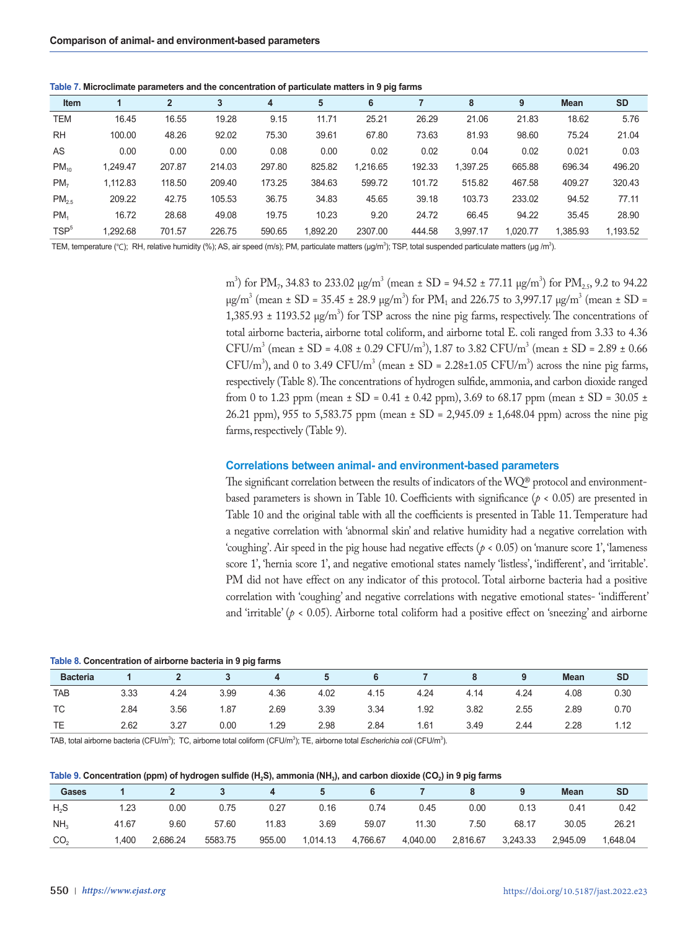**Table 7. Microclimate parameters and the concentration of particulate matters in 9 pig farms**

| Item             |          | $\overline{2}$ | 3      | 4      | 5        | 6        |        | 8        | 9        | <b>Mean</b> | <b>SD</b> |
|------------------|----------|----------------|--------|--------|----------|----------|--------|----------|----------|-------------|-----------|
| <b>TEM</b>       | 16.45    | 16.55          | 19.28  | 9.15   | 11.71    | 25.21    | 26.29  | 21.06    | 21.83    | 18.62       | 5.76      |
| <b>RH</b>        | 100.00   | 48.26          | 92.02  | 75.30  | 39.61    | 67.80    | 73.63  | 81.93    | 98.60    | 75.24       | 21.04     |
| AS               | 0.00     | 0.00           | 0.00   | 0.08   | 0.00     | 0.02     | 0.02   | 0.04     | 0.02     | 0.021       | 0.03      |
| $PM_{10}$        | 1.249.47 | 207.87         | 214.03 | 297.80 | 825.82   | 1,216.65 | 192.33 | 1.397.25 | 665.88   | 696.34      | 496.20    |
| PM <sub>7</sub>  | 1.112.83 | 118.50         | 209.40 | 173.25 | 384.63   | 599.72   | 101.72 | 515.82   | 467.58   | 409.27      | 320.43    |
| $PM_{2.5}$       | 209.22   | 42.75          | 105.53 | 36.75  | 34.83    | 45.65    | 39.18  | 103.73   | 233.02   | 94.52       | 77.11     |
| PM <sub>1</sub>  | 16.72    | 28.68          | 49.08  | 19.75  | 10.23    | 9.20     | 24.72  | 66.45    | 94.22    | 35.45       | 28.90     |
| TSP <sup>5</sup> | 1.292.68 | 701.57         | 226.75 | 590.65 | 1,892.20 | 2307.00  | 444.58 | 3.997.17 | 1.020.77 | 1.385.93    | 1,193.52  |

TEM, temperature (°C); RH, relative humidity (%); AS, air speed (m/s); PM, particulate matters (µg/m<sup>3</sup>); TSP, total suspended particulate matters (µg/m<sup>3</sup>).

m<sup>3</sup>) for PM<sub>7</sub>, 34.83 to 233.02  $\mu$ g/m<sup>3</sup> (mean  $\pm$  SD = 94.52  $\pm$  77.11  $\mu$ g/m<sup>3</sup>) for PM<sub>2.5</sub>, 9.2 to 94.22  $\mu$ g/m<sup>3</sup> (mean ± SD = 35.45 ± 28.9  $\mu$ g/m<sup>3</sup>) for PM<sub>1</sub> and 226.75 to 3,997.17  $\mu$ g/m<sup>3</sup> (mean ± SD =  $1,385.93 \pm 1193.52 \text{ µg/m}^3$  for TSP across the nine pig farms, respectively. The concentrations of total airborne bacteria, airborne total coliform, and airborne total E. coli ranged from 3.33 to 4.36 CFU/m<sup>3</sup> (mean  $\pm$  SD = 4.08  $\pm$  0.29 CFU/m<sup>3</sup>), 1.87 to 3.82 CFU/m<sup>3</sup> (mean  $\pm$  SD = 2.89  $\pm$  0.66 CFU/m<sup>3</sup>), and 0 to 3.49 CFU/m<sup>3</sup> (mean  $\pm$  SD = 2.28 $\pm$ 1.05 CFU/m<sup>3</sup>) across the nine pig farms, respectively (Table 8). The concentrations of hydrogen sulfide, ammonia, and carbon dioxide ranged from 0 to 1.23 ppm (mean  $\pm$  SD = 0.41  $\pm$  0.42 ppm), 3.69 to 68.17 ppm (mean  $\pm$  SD = 30.05  $\pm$ 26.21 ppm), 955 to 5,583.75 ppm (mean ± SD = 2,945.09 ± 1,648.04 ppm) across the nine pig farms, respectively (Table 9).

### **Correlations between animal- and environment-based parameters**

The significant correlation between the results of indicators of the WQ® protocol and environmentbased parameters is shown in Table 10. Coefficients with significance ( $p < 0.05$ ) are presented in Table 10 and the original table with all the coefficients is presented in Table 11. Temperature had a negative correlation with 'abnormal skin' and relative humidity had a negative correlation with 'coughing'. Air speed in the pig house had negative effects ( $p < 0.05$ ) on 'manure score 1', 'lameness score 1', 'hernia score 1', and negative emotional states namely 'listless', 'indifferent', and 'irritable'. PM did not have effect on any indicator of this protocol. Total airborne bacteria had a positive correlation with 'coughing' and negative correlations with negative emotional states- 'indifferent' and 'irritable'  $(p < 0.05)$ . Airborne total coliform had a positive effect on 'sneezing' and airborne

#### **Table 8. Concentration of airborne bacteria in 9 pig farms**

| <b>Bacteria</b> |      |      |      |      |      |      |      |      |      | <b>Mean</b> | <b>SD</b> |
|-----------------|------|------|------|------|------|------|------|------|------|-------------|-----------|
| <b>TAB</b>      | 3.33 | 4.24 | 3.99 | 4.36 | 4.02 | 4.15 | 4.24 | 4.14 | 4.24 | 4.08        | 0.30      |
| <b>TC</b>       | 2.84 | 3.56 | 1.87 | 2.69 | 3.39 | 3.34 | 1.92 | 3.82 | 2.55 | 2.89        | 0.70      |
| <b>TE</b>       | 2.62 | 3.27 | 0.00 | 1.29 | 2.98 | 2.84 | 1.61 | 3.49 | 2.44 | 2.28        | 1.12      |

TAB, total airborne bacteria (CFU/m<sup>3</sup>); TC, airborne total coliform (CFU/m<sup>3</sup>); TE, airborne total *Escherichia coli* (CFU/m<sup>3</sup>).

### Table 9. Concentration (ppm) of hydrogen sulfide (H<sub>2</sub>S), ammonia (NH<sub>3</sub>), and carbon dioxide (CO<sub>2</sub>) in 9 pig farms

| Gases           |       |          |         |        |          |          |          |          |          | <b>Mean</b> | <b>SD</b> |
|-----------------|-------|----------|---------|--------|----------|----------|----------|----------|----------|-------------|-----------|
| $H_{2}S$        | 1.23  | 0.00     | 0.75    | 0.27   | 0.16     | 0.74     | 0.45     | 0.00     | 0.13     | 0.41        | 0.42      |
| NH <sub>3</sub> | 41.67 | 9.60     | 57.60   | 11.83  | 3.69     | 59.07    | 11.30    | 7.50     | 68.17    | 30.05       | 26.21     |
| CO <sub>2</sub> | 1,400 | 2.686.24 | 5583.75 | 955.00 | 1,014.13 | 4,766.67 | 4,040.00 | 2,816.67 | 3,243.33 | 2,945.09    | 1,648.04  |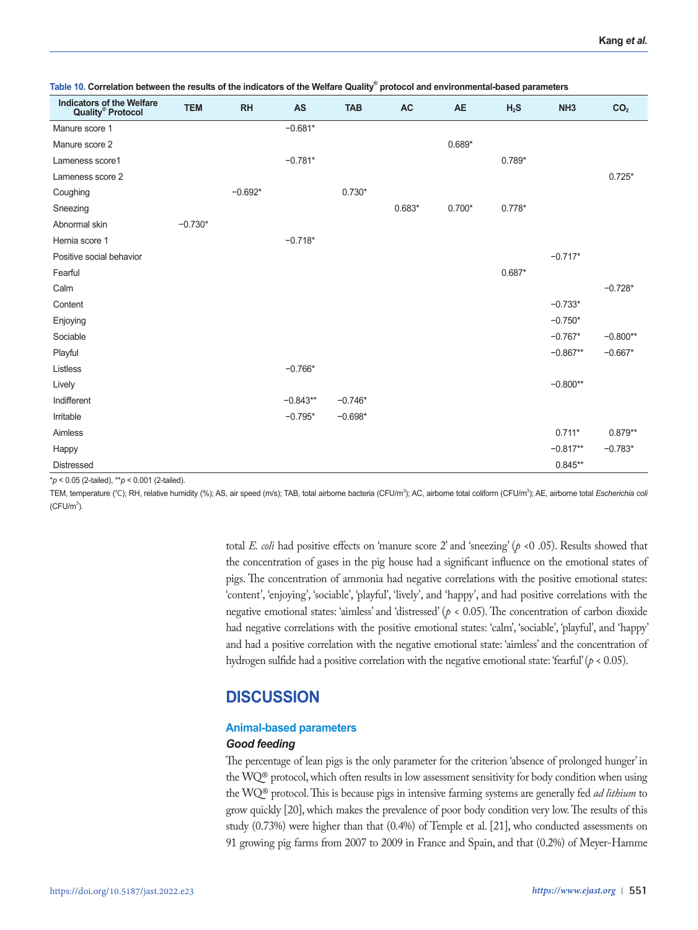| Indicators of the Welfare<br>Quality® Protocol | <b>TEM</b> | RH        | <b>AS</b>  | <b>TAB</b> | <b>AC</b> | <b>AE</b> | $H_2S$   | NH <sub>3</sub> | CO <sub>2</sub> |
|------------------------------------------------|------------|-----------|------------|------------|-----------|-----------|----------|-----------------|-----------------|
| Manure score 1                                 |            |           | $-0.681*$  |            |           |           |          |                 |                 |
| Manure score 2                                 |            |           |            |            |           | $0.689*$  |          |                 |                 |
| Lameness score1                                |            |           | $-0.781*$  |            |           |           | $0.789*$ |                 |                 |
| Lameness score 2                               |            |           |            |            |           |           |          |                 | $0.725*$        |
| Coughing                                       |            | $-0.692*$ |            | $0.730*$   |           |           |          |                 |                 |
| Sneezing                                       |            |           |            |            | $0.683*$  | $0.700*$  | $0.778*$ |                 |                 |
| Abnormal skin                                  | $-0.730*$  |           |            |            |           |           |          |                 |                 |
| Hernia score 1                                 |            |           | $-0.718*$  |            |           |           |          |                 |                 |
| Positive social behavior                       |            |           |            |            |           |           |          | $-0.717*$       |                 |
| Fearful                                        |            |           |            |            |           |           | $0.687*$ |                 |                 |
| Calm                                           |            |           |            |            |           |           |          |                 | $-0.728*$       |
| Content                                        |            |           |            |            |           |           |          | $-0.733*$       |                 |
| Enjoying                                       |            |           |            |            |           |           |          | $-0.750*$       |                 |
| Sociable                                       |            |           |            |            |           |           |          | $-0.767*$       | $-0.800**$      |
| Playful                                        |            |           |            |            |           |           |          | $-0.867**$      | $-0.667*$       |
| Listless                                       |            |           | $-0.766*$  |            |           |           |          |                 |                 |
| Lively                                         |            |           |            |            |           |           |          | $-0.800**$      |                 |
| Indifferent                                    |            |           | $-0.843**$ | $-0.746*$  |           |           |          |                 |                 |
| Irritable                                      |            |           | $-0.795*$  | $-0.698*$  |           |           |          |                 |                 |
| Aimless                                        |            |           |            |            |           |           |          | $0.711*$        | $0.879**$       |
| Happy                                          |            |           |            |            |           |           |          | $-0.817**$      | $-0.783*$       |
| <b>Distressed</b>                              |            |           |            |            |           |           |          | $0.845**$       |                 |

**Table 10. Correlation between the results of the indicators of the Welfare Quality® protocol and environmental-based parameters**

\**p* < 0.05 (2-tailed), \*\**p* < 0.001 (2-tailed).

TEM, temperature (℃); RH, relative humidity (%); AS, air speed (m/s); TAB, total airborne bacteria (CFU/m<sup>3</sup>); AC, airborne total coliform (CFU/m<sup>3</sup>); AE, airborne total *Escherichia col*  $(CFU/m^3)$ .

> total *E. coli* had positive effects on 'manure score 2' and 'sneezing' (*p* <0 .05). Results showed that the concentration of gases in the pig house had a significant influence on the emotional states of pigs. The concentration of ammonia had negative correlations with the positive emotional states: 'content', 'enjoying', 'sociable', 'playful', 'lively', and 'happy', and had positive correlations with the negative emotional states: 'aimless' and 'distressed' (*p* < 0.05). The concentration of carbon dioxide had negative correlations with the positive emotional states: 'calm', 'sociable', 'playful', and 'happy' and had a positive correlation with the negative emotional state: 'aimless' and the concentration of hydrogen sulfide had a positive correlation with the negative emotional state: 'fearful' (*p* < 0.05).

# **DISCUSSION**

# **Animal-based parameters**

# *Good feeding*

The percentage of lean pigs is the only parameter for the criterion 'absence of prolonged hunger' in the WQ® protocol, which often results in low assessment sensitivity for body condition when using the WQ® protocol. This is because pigs in intensive farming systems are generally fed *ad lithium* to grow quickly [20], which makes the prevalence of poor body condition very low. The results of this study (0.73%) were higher than that (0.4%) of Temple et al. [21], who conducted assessments on 91 growing pig farms from 2007 to 2009 in France and Spain, and that (0.2%) of Meyer-Hamme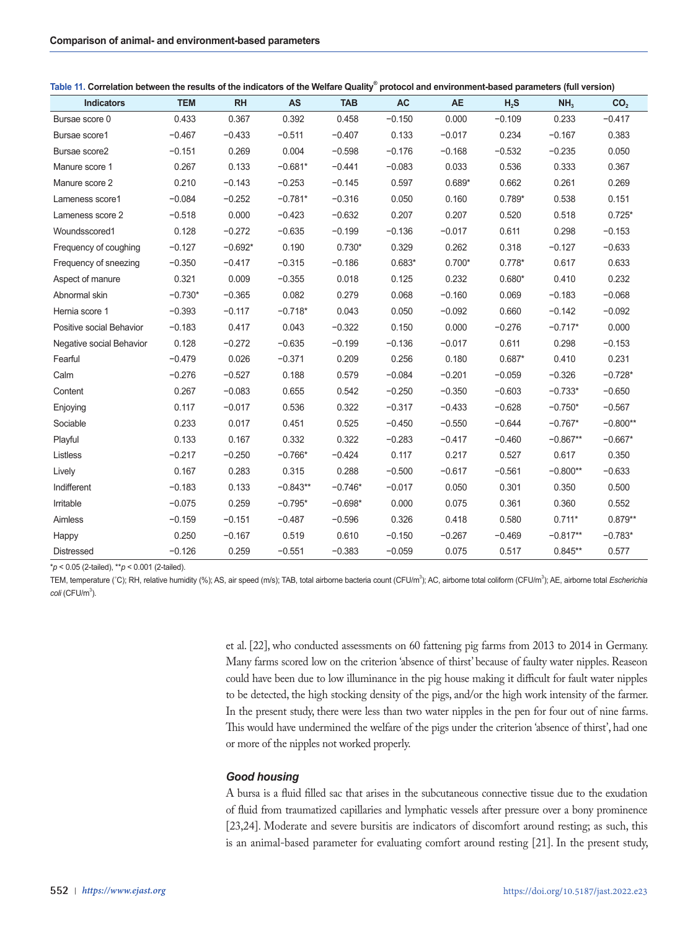| <b>Indicators</b>        | <b>TEM</b> | <b>RH</b> | <b>AS</b>  | <b>TAB</b> | <b>AC</b> | <b>AE</b> | $H_2S$   | NH <sub>3</sub> | CO <sub>2</sub> |
|--------------------------|------------|-----------|------------|------------|-----------|-----------|----------|-----------------|-----------------|
| Bursae score 0           | 0.433      | 0.367     | 0.392      | 0.458      | $-0.150$  | 0.000     | $-0.109$ | 0.233           | $-0.417$        |
| Bursae score1            | $-0.467$   | $-0.433$  | $-0.511$   | $-0.407$   | 0.133     | $-0.017$  | 0.234    | $-0.167$        | 0.383           |
| Bursae score2            | $-0.151$   | 0.269     | 0.004      | $-0.598$   | $-0.176$  | $-0.168$  | $-0.532$ | $-0.235$        | 0.050           |
| Manure score 1           | 0.267      | 0.133     | $-0.681*$  | $-0.441$   | $-0.083$  | 0.033     | 0.536    | 0.333           | 0.367           |
| Manure score 2           | 0.210      | $-0.143$  | $-0.253$   | $-0.145$   | 0.597     | $0.689*$  | 0.662    | 0.261           | 0.269           |
| Lameness score1          | $-0.084$   | $-0.252$  | $-0.781*$  | $-0.316$   | 0.050     | 0.160     | $0.789*$ | 0.538           | 0.151           |
| Lameness score 2         | $-0.518$   | 0.000     | $-0.423$   | $-0.632$   | 0.207     | 0.207     | 0.520    | 0.518           | $0.725*$        |
| Woundsscored1            | 0.128      | $-0.272$  | $-0.635$   | $-0.199$   | $-0.136$  | $-0.017$  | 0.611    | 0.298           | $-0.153$        |
| Frequency of coughing    | $-0.127$   | $-0.692*$ | 0.190      | $0.730*$   | 0.329     | 0.262     | 0.318    | $-0.127$        | $-0.633$        |
| Frequency of sneezing    | $-0.350$   | $-0.417$  | $-0.315$   | $-0.186$   | $0.683*$  | $0.700*$  | $0.778*$ | 0.617           | 0.633           |
| Aspect of manure         | 0.321      | 0.009     | $-0.355$   | 0.018      | 0.125     | 0.232     | $0.680*$ | 0.410           | 0.232           |
| Abnormal skin            | $-0.730*$  | $-0.365$  | 0.082      | 0.279      | 0.068     | $-0.160$  | 0.069    | $-0.183$        | $-0.068$        |
| Hernia score 1           | $-0.393$   | $-0.117$  | $-0.718*$  | 0.043      | 0.050     | $-0.092$  | 0.660    | $-0.142$        | $-0.092$        |
| Positive social Behavior | $-0.183$   | 0.417     | 0.043      | $-0.322$   | 0.150     | 0.000     | $-0.276$ | $-0.717*$       | 0.000           |
| Negative social Behavior | 0.128      | $-0.272$  | $-0.635$   | $-0.199$   | $-0.136$  | $-0.017$  | 0.611    | 0.298           | $-0.153$        |
| Fearful                  | $-0.479$   | 0.026     | $-0.371$   | 0.209      | 0.256     | 0.180     | $0.687*$ | 0.410           | 0.231           |
| Calm                     | $-0.276$   | $-0.527$  | 0.188      | 0.579      | $-0.084$  | $-0.201$  | $-0.059$ | $-0.326$        | $-0.728*$       |
| Content                  | 0.267      | $-0.083$  | 0.655      | 0.542      | $-0.250$  | $-0.350$  | $-0.603$ | $-0.733*$       | $-0.650$        |
| Enjoying                 | 0.117      | $-0.017$  | 0.536      | 0.322      | $-0.317$  | $-0.433$  | $-0.628$ | $-0.750*$       | $-0.567$        |
| Sociable                 | 0.233      | 0.017     | 0.451      | 0.525      | $-0.450$  | $-0.550$  | $-0.644$ | $-0.767*$       | $-0.800**$      |
| Playful                  | 0.133      | 0.167     | 0.332      | 0.322      | $-0.283$  | $-0.417$  | $-0.460$ | $-0.867**$      | $-0.667*$       |
| Listless                 | $-0.217$   | $-0.250$  | $-0.766*$  | $-0.424$   | 0.117     | 0.217     | 0.527    | 0.617           | 0.350           |
| Lively                   | 0.167      | 0.283     | 0.315      | 0.288      | $-0.500$  | $-0.617$  | $-0.561$ | $-0.800**$      | $-0.633$        |
| Indifferent              | $-0.183$   | 0.133     | $-0.843**$ | $-0.746*$  | $-0.017$  | 0.050     | 0.301    | 0.350           | 0.500           |
| Irritable                | $-0.075$   | 0.259     | $-0.795*$  | $-0.698*$  | 0.000     | 0.075     | 0.361    | 0.360           | 0.552           |
| Aimless                  | $-0.159$   | $-0.151$  | $-0.487$   | $-0.596$   | 0.326     | 0.418     | 0.580    | $0.711*$        | $0.879**$       |
| Happy                    | 0.250      | $-0.167$  | 0.519      | 0.610      | $-0.150$  | $-0.267$  | $-0.469$ | $-0.817**$      | $-0.783*$       |
| <b>Distressed</b>        | $-0.126$   | 0.259     | $-0.551$   | $-0.383$   | $-0.059$  | 0.075     | 0.517    | $0.845**$       | 0.577           |

**Table 11. Correlation between the results of the indicators of the Welfare Quality® protocol and environment-based parameters (full version)**

\**p* < 0.05 (2-tailed), \*\**p* < 0.001 (2-tailed).

TEM, temperature (°C); RH, relative humidity (%); AS, air speed (m/s); TAB, total airborne bacteria count (CFU/m<sup>3</sup>); AC, airborne total *coliform* (CFU/m<sup>3</sup>); AE, airborne total *Escherichia* coli (CFU/m<sup>3</sup>).

> et al. [22], who conducted assessments on 60 fattening pig farms from 2013 to 2014 in Germany. Many farms scored low on the criterion 'absence of thirst' because of faulty water nipples. Reaseon could have been due to low illuminance in the pig house making it difficult for fault water nipples to be detected, the high stocking density of the pigs, and/or the high work intensity of the farmer. In the present study, there were less than two water nipples in the pen for four out of nine farms. This would have undermined the welfare of the pigs under the criterion 'absence of thirst', had one or more of the nipples not worked properly.

# *Good housing*

A bursa is a fluid filled sac that arises in the subcutaneous connective tissue due to the exudation of fluid from traumatized capillaries and lymphatic vessels after pressure over a bony prominence [23,24]. Moderate and severe bursitis are indicators of discomfort around resting; as such, this is an animal-based parameter for evaluating comfort around resting [21]. In the present study,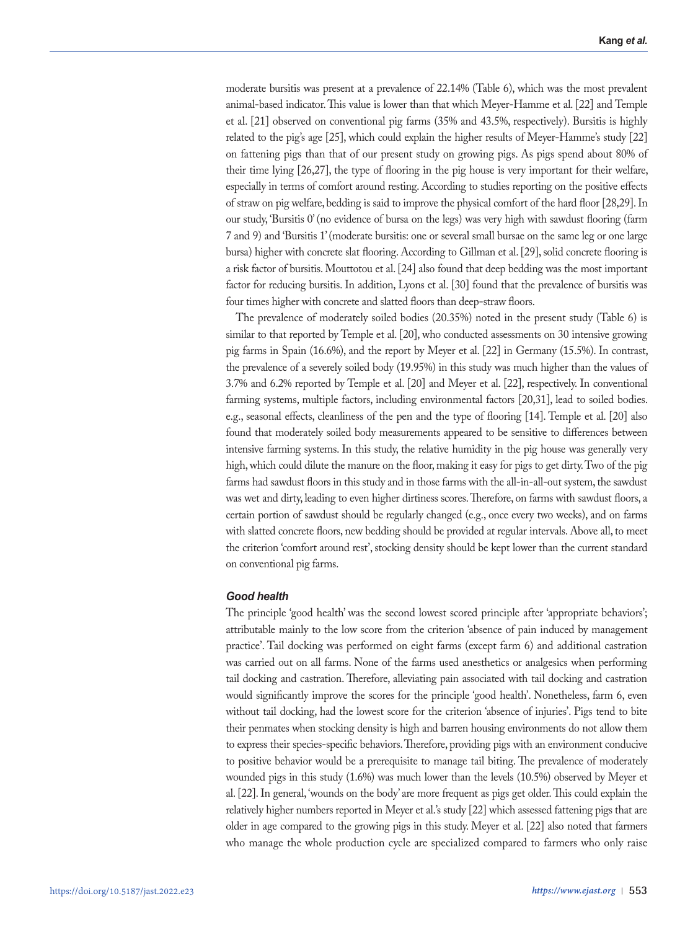moderate bursitis was present at a prevalence of 22.14% (Table 6), which was the most prevalent animal-based indicator. This value is lower than that which Meyer-Hamme et al. [22] and Temple et al. [21] observed on conventional pig farms (35% and 43.5%, respectively). Bursitis is highly related to the pig's age [25], which could explain the higher results of Meyer-Hamme's study [22] on fattening pigs than that of our present study on growing pigs. As pigs spend about 80% of their time lying [26,27], the type of flooring in the pig house is very important for their welfare, especially in terms of comfort around resting. According to studies reporting on the positive effects of straw on pig welfare, bedding is said to improve the physical comfort of the hard floor [28,29]. In our study, 'Bursitis 0' (no evidence of bursa on the legs) was very high with sawdust flooring (farm 7 and 9) and 'Bursitis 1' (moderate bursitis: one or several small bursae on the same leg or one large bursa) higher with concrete slat flooring. According to Gillman et al. [29], solid concrete flooring is a risk factor of bursitis. Mouttotou et al. [24] also found that deep bedding was the most important factor for reducing bursitis. In addition, Lyons et al. [30] found that the prevalence of bursitis was four times higher with concrete and slatted floors than deep-straw floors.

The prevalence of moderately soiled bodies (20.35%) noted in the present study (Table 6) is similar to that reported by Temple et al. [20], who conducted assessments on 30 intensive growing pig farms in Spain (16.6%), and the report by Meyer et al. [22] in Germany (15.5%). In contrast, the prevalence of a severely soiled body (19.95%) in this study was much higher than the values of 3.7% and 6.2% reported by Temple et al. [20] and Meyer et al. [22], respectively. In conventional farming systems, multiple factors, including environmental factors [20,31], lead to soiled bodies. e.g., seasonal effects, cleanliness of the pen and the type of flooring [14]. Temple et al. [20] also found that moderately soiled body measurements appeared to be sensitive to differences between intensive farming systems. In this study, the relative humidity in the pig house was generally very high, which could dilute the manure on the floor, making it easy for pigs to get dirty. Two of the pig farms had sawdust floors in this study and in those farms with the all-in-all-out system, the sawdust was wet and dirty, leading to even higher dirtiness scores. Therefore, on farms with sawdust floors, a certain portion of sawdust should be regularly changed (e.g., once every two weeks), and on farms with slatted concrete floors, new bedding should be provided at regular intervals. Above all, to meet the criterion 'comfort around rest', stocking density should be kept lower than the current standard on conventional pig farms.

### *Good health*

The principle 'good health' was the second lowest scored principle after 'appropriate behaviors'; attributable mainly to the low score from the criterion 'absence of pain induced by management practice'. Tail docking was performed on eight farms (except farm 6) and additional castration was carried out on all farms. None of the farms used anesthetics or analgesics when performing tail docking and castration. Therefore, alleviating pain associated with tail docking and castration would significantly improve the scores for the principle 'good health'. Nonetheless, farm 6, even without tail docking, had the lowest score for the criterion 'absence of injuries'. Pigs tend to bite their penmates when stocking density is high and barren housing environments do not allow them to express their species-specific behaviors. Therefore, providing pigs with an environment conducive to positive behavior would be a prerequisite to manage tail biting. The prevalence of moderately wounded pigs in this study (1.6%) was much lower than the levels (10.5%) observed by Meyer et al. [22]. In general, 'wounds on the body' are more frequent as pigs get older. This could explain the relatively higher numbers reported in Meyer et al.'s study [22] which assessed fattening pigs that are older in age compared to the growing pigs in this study. Meyer et al. [22] also noted that farmers who manage the whole production cycle are specialized compared to farmers who only raise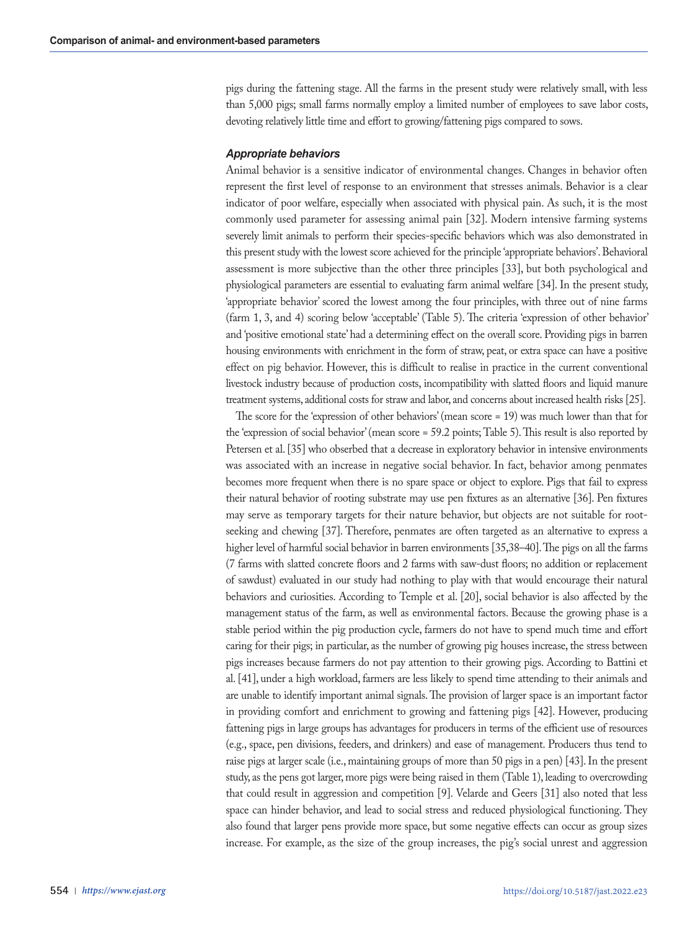pigs during the fattening stage. All the farms in the present study were relatively small, with less than 5,000 pigs; small farms normally employ a limited number of employees to save labor costs, devoting relatively little time and effort to growing/fattening pigs compared to sows.

### *Appropriate behaviors*

Animal behavior is a sensitive indicator of environmental changes. Changes in behavior often represent the first level of response to an environment that stresses animals. Behavior is a clear indicator of poor welfare, especially when associated with physical pain. As such, it is the most commonly used parameter for assessing animal pain [32]. Modern intensive farming systems severely limit animals to perform their species-specific behaviors which was also demonstrated in this present study with the lowest score achieved for the principle 'appropriate behaviors'. Behavioral assessment is more subjective than the other three principles [33], but both psychological and physiological parameters are essential to evaluating farm animal welfare [34]. In the present study, 'appropriate behavior' scored the lowest among the four principles, with three out of nine farms (farm 1, 3, and 4) scoring below 'acceptable' (Table 5). The criteria 'expression of other behavior' and 'positive emotional state' had a determining effect on the overall score. Providing pigs in barren housing environments with enrichment in the form of straw, peat, or extra space can have a positive effect on pig behavior. However, this is difficult to realise in practice in the current conventional livestock industry because of production costs, incompatibility with slatted floors and liquid manure treatment systems, additional costs for straw and labor, and concerns about increased health risks [25].

The score for the 'expression of other behaviors' (mean score = 19) was much lower than that for the 'expression of social behavior' (mean score = 59.2 points; Table 5). This result is also reported by Petersen et al. [35] who obserbed that a decrease in exploratory behavior in intensive environments was associated with an increase in negative social behavior. In fact, behavior among penmates becomes more frequent when there is no spare space or object to explore. Pigs that fail to express their natural behavior of rooting substrate may use pen fixtures as an alternative [36]. Pen fixtures may serve as temporary targets for their nature behavior, but objects are not suitable for rootseeking and chewing [37]. Therefore, penmates are often targeted as an alternative to express a higher level of harmful social behavior in barren environments [35,38–40]. The pigs on all the farms (7 farms with slatted concrete floors and 2 farms with saw-dust floors; no addition or replacement of sawdust) evaluated in our study had nothing to play with that would encourage their natural behaviors and curiosities. According to Temple et al. [20], social behavior is also affected by the management status of the farm, as well as environmental factors. Because the growing phase is a stable period within the pig production cycle, farmers do not have to spend much time and effort caring for their pigs; in particular, as the number of growing pig houses increase, the stress between pigs increases because farmers do not pay attention to their growing pigs. According to Battini et al. [41], under a high workload, farmers are less likely to spend time attending to their animals and are unable to identify important animal signals. The provision of larger space is an important factor in providing comfort and enrichment to growing and fattening pigs [42]. However, producing fattening pigs in large groups has advantages for producers in terms of the efficient use of resources (e.g., space, pen divisions, feeders, and drinkers) and ease of management. Producers thus tend to raise pigs at larger scale (i.e., maintaining groups of more than 50 pigs in a pen) [43]. In the present study, as the pens got larger, more pigs were being raised in them (Table 1), leading to overcrowding that could result in aggression and competition [9]. Velarde and Geers [31] also noted that less space can hinder behavior, and lead to social stress and reduced physiological functioning. They also found that larger pens provide more space, but some negative effects can occur as group sizes increase. For example, as the size of the group increases, the pig's social unrest and aggression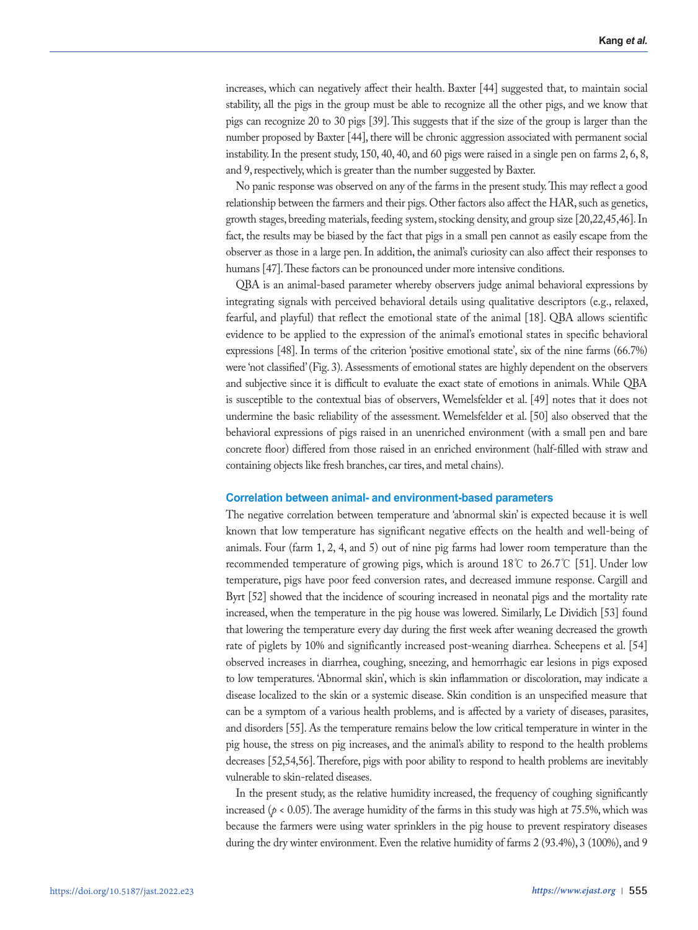increases, which can negatively affect their health. Baxter [44] suggested that, to maintain social stability, all the pigs in the group must be able to recognize all the other pigs, and we know that pigs can recognize 20 to 30 pigs [39]. This suggests that if the size of the group is larger than the number proposed by Baxter [44], there will be chronic aggression associated with permanent social instability. In the present study, 150, 40, 40, and 60 pigs were raised in a single pen on farms 2, 6, 8, and 9, respectively, which is greater than the number suggested by Baxter.

No panic response was observed on any of the farms in the present study. This may reflect a good relationship between the farmers and their pigs. Other factors also affect the HAR, such as genetics, growth stages, breeding materials, feeding system, stocking density, and group size [20,22,45,46]. In fact, the results may be biased by the fact that pigs in a small pen cannot as easily escape from the observer as those in a large pen. In addition, the animal's curiosity can also affect their responses to humans [47]. These factors can be pronounced under more intensive conditions.

QBA is an animal-based parameter whereby observers judge animal behavioral expressions by integrating signals with perceived behavioral details using qualitative descriptors (e.g., relaxed, fearful, and playful) that reflect the emotional state of the animal [18]. QBA allows scientific evidence to be applied to the expression of the animal's emotional states in specific behavioral expressions [48]. In terms of the criterion 'positive emotional state', six of the nine farms (66.7%) were 'not classified' (Fig. 3). Assessments of emotional states are highly dependent on the observers and subjective since it is difficult to evaluate the exact state of emotions in animals. While QBA is susceptible to the contextual bias of observers, Wemelsfelder et al. [49] notes that it does not undermine the basic reliability of the assessment. Wemelsfelder et al. [50] also observed that the behavioral expressions of pigs raised in an unenriched environment (with a small pen and bare concrete floor) differed from those raised in an enriched environment (half-filled with straw and containing objects like fresh branches, car tires, and metal chains).

### **Correlation between animal- and environment-based parameters**

The negative correlation between temperature and 'abnormal skin' is expected because it is well known that low temperature has significant negative effects on the health and well-being of animals. Four (farm 1, 2, 4, and 5) out of nine pig farms had lower room temperature than the recommended temperature of growing pigs, which is around 18℃ to 26.7℃ [51]. Under low temperature, pigs have poor feed conversion rates, and decreased immune response. Cargill and Byrt [52] showed that the incidence of scouring increased in neonatal pigs and the mortality rate increased, when the temperature in the pig house was lowered. Similarly, Le Dividich [53] found that lowering the temperature every day during the first week after weaning decreased the growth rate of piglets by 10% and significantly increased post-weaning diarrhea. Scheepens et al. [54] observed increases in diarrhea, coughing, sneezing, and hemorrhagic ear lesions in pigs exposed to low temperatures. 'Abnormal skin', which is skin inflammation or discoloration, may indicate a disease localized to the skin or a systemic disease. Skin condition is an unspecified measure that can be a symptom of a various health problems, and is affected by a variety of diseases, parasites, and disorders [55]. As the temperature remains below the low critical temperature in winter in the pig house, the stress on pig increases, and the animal's ability to respond to the health problems decreases [52,54,56]. Therefore, pigs with poor ability to respond to health problems are inevitably vulnerable to skin-related diseases.

In the present study, as the relative humidity increased, the frequency of coughing significantly increased ( $p < 0.05$ ). The average humidity of the farms in this study was high at 75.5%, which was because the farmers were using water sprinklers in the pig house to prevent respiratory diseases during the dry winter environment. Even the relative humidity of farms 2 (93.4%), 3 (100%), and 9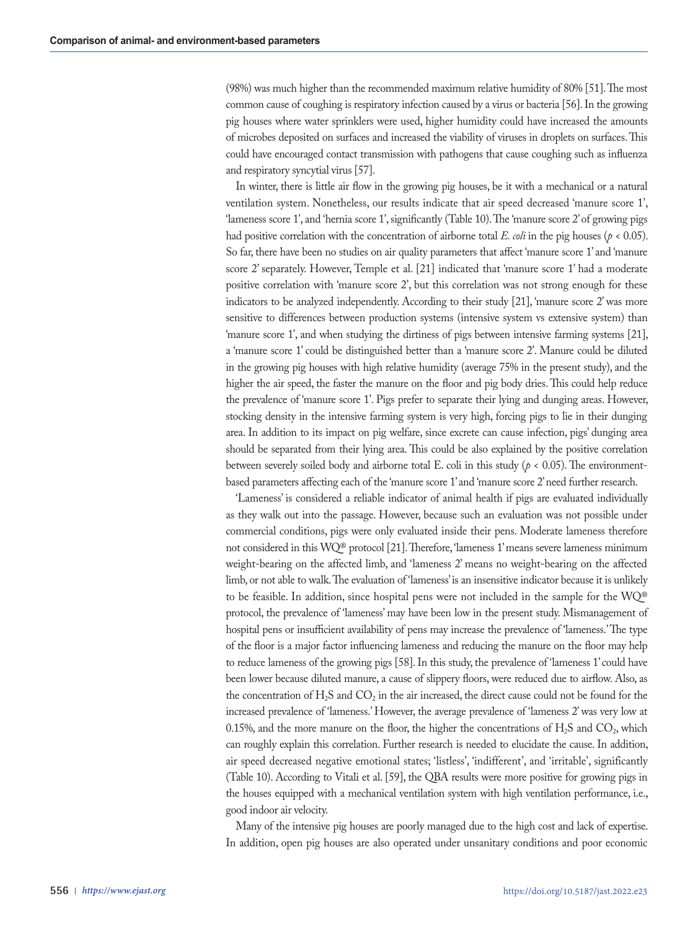(98%) was much higher than the recommended maximum relative humidity of 80% [51]. The most common cause of coughing is respiratory infection caused by a virus or bacteria [56]. In the growing pig houses where water sprinklers were used, higher humidity could have increased the amounts of microbes deposited on surfaces and increased the viability of viruses in droplets on surfaces. This could have encouraged contact transmission with pathogens that cause coughing such as influenza and respiratory syncytial virus [57].

In winter, there is little air flow in the growing pig houses, be it with a mechanical or a natural ventilation system. Nonetheless, our results indicate that air speed decreased 'manure score 1', 'lameness score 1', and 'hernia score 1', significantly (Table 10). The 'manure score 2' of growing pigs had positive correlation with the concentration of airborne total *E. coli* in the pig houses ( $p < 0.05$ ). So far, there have been no studies on air quality parameters that affect 'manure score 1' and 'manure score 2' separately. However, Temple et al. [21] indicated that 'manure score 1' had a moderate positive correlation with 'manure score 2', but this correlation was not strong enough for these indicators to be analyzed independently. According to their study [21], 'manure score 2' was more sensitive to differences between production systems (intensive system vs extensive system) than 'manure score 1', and when studying the dirtiness of pigs between intensive farming systems [21], a 'manure score 1' could be distinguished better than a 'manure score 2'. Manure could be diluted in the growing pig houses with high relative humidity (average 75% in the present study), and the higher the air speed, the faster the manure on the floor and pig body dries. This could help reduce the prevalence of 'manure score 1'. Pigs prefer to separate their lying and dunging areas. However, stocking density in the intensive farming system is very high, forcing pigs to lie in their dunging area. In addition to its impact on pig welfare, since excrete can cause infection, pigs' dunging area should be separated from their lying area. This could be also explained by the positive correlation between severely soiled body and airborne total E. coli in this study (*p* < 0.05). The environmentbased parameters affecting each of the 'manure score 1' and 'manure score 2' need further research.

'Lameness' is considered a reliable indicator of animal health if pigs are evaluated individually as they walk out into the passage. However, because such an evaluation was not possible under commercial conditions, pigs were only evaluated inside their pens. Moderate lameness therefore not considered in this WQ® protocol [21]. Therefore, 'lameness 1' means severe lameness minimum weight-bearing on the affected limb, and 'lameness 2' means no weight-bearing on the affected limb, or not able to walk. The evaluation of 'lameness' is an insensitive indicator because it is unlikely to be feasible. In addition, since hospital pens were not included in the sample for the WQ® protocol, the prevalence of 'lameness' may have been low in the present study. Mismanagement of hospital pens or insufficient availability of pens may increase the prevalence of 'lameness.' The type of the floor is a major factor influencing lameness and reducing the manure on the floor may help to reduce lameness of the growing pigs [58]. In this study, the prevalence of 'lameness 1' could have been lower because diluted manure, a cause of slippery floors, were reduced due to airflow. Also, as the concentration of  $H_2S$  and  $CO_2$  in the air increased, the direct cause could not be found for the increased prevalence of 'lameness.' However, the average prevalence of 'lameness 2' was very low at 0.15%, and the more manure on the floor, the higher the concentrations of  $H_2S$  and  $CO_2$ , which can roughly explain this correlation. Further research is needed to elucidate the cause. In addition, air speed decreased negative emotional states; 'listless', 'indifferent', and 'irritable', significantly (Table 10). According to Vitali et al. [59], the QBA results were more positive for growing pigs in the houses equipped with a mechanical ventilation system with high ventilation performance, i.e., good indoor air velocity.

Many of the intensive pig houses are poorly managed due to the high cost and lack of expertise. In addition, open pig houses are also operated under unsanitary conditions and poor economic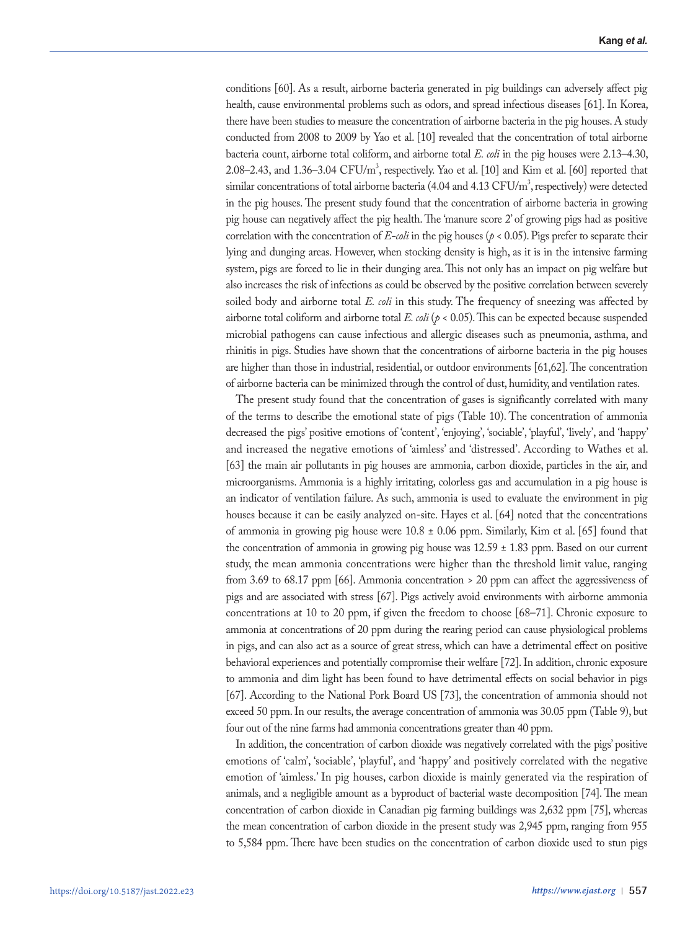conditions [60]. As a result, airborne bacteria generated in pig buildings can adversely affect pig health, cause environmental problems such as odors, and spread infectious diseases [61]. In Korea, there have been studies to measure the concentration of airborne bacteria in the pig houses. A study conducted from 2008 to 2009 by Yao et al. [10] revealed that the concentration of total airborne bacteria count, airborne total coliform, and airborne total *E. coli* in the pig houses were 2.13–4.30, 2.08–2.43, and 1.36–3.04  $\mathrm{CFU/m}^3$ , respectively. Yao et al. [10] and Kim et al. [60] reported that similar concentrations of total airborne bacteria (4.04 and 4.13  $\rm CFU/m^3$ , respectively) were detected in the pig houses. The present study found that the concentration of airborne bacteria in growing pig house can negatively affect the pig health. The 'manure score 2' of growing pigs had as positive correlation with the concentration of  $E$ -coli in the pig houses ( $p < 0.05$ ). Pigs prefer to separate their lying and dunging areas. However, when stocking density is high, as it is in the intensive farming system, pigs are forced to lie in their dunging area. This not only has an impact on pig welfare but also increases the risk of infections as could be observed by the positive correlation between severely soiled body and airborne total *E. coli* in this study. The frequency of sneezing was affected by airborne total coliform and airborne total *E. coli* (*p* < 0.05). This can be expected because suspended microbial pathogens can cause infectious and allergic diseases such as pneumonia, asthma, and rhinitis in pigs. Studies have shown that the concentrations of airborne bacteria in the pig houses are higher than those in industrial, residential, or outdoor environments [61,62]. The concentration of airborne bacteria can be minimized through the control of dust, humidity, and ventilation rates.

The present study found that the concentration of gases is significantly correlated with many of the terms to describe the emotional state of pigs (Table 10). The concentration of ammonia decreased the pigs' positive emotions of 'content', 'enjoying', 'sociable', 'playful', 'lively', and 'happy' and increased the negative emotions of 'aimless' and 'distressed'. According to Wathes et al. [63] the main air pollutants in pig houses are ammonia, carbon dioxide, particles in the air, and microorganisms. Ammonia is a highly irritating, colorless gas and accumulation in a pig house is an indicator of ventilation failure. As such, ammonia is used to evaluate the environment in pig houses because it can be easily analyzed on-site. Hayes et al. [64] noted that the concentrations of ammonia in growing pig house were  $10.8 \pm 0.06$  ppm. Similarly, Kim et al. [65] found that the concentration of ammonia in growing pig house was  $12.59 \pm 1.83$  ppm. Based on our current study, the mean ammonia concentrations were higher than the threshold limit value, ranging from 3.69 to 68.17 ppm [66]. Ammonia concentration > 20 ppm can affect the aggressiveness of pigs and are associated with stress [67]. Pigs actively avoid environments with airborne ammonia concentrations at 10 to 20 ppm, if given the freedom to choose [68–71]. Chronic exposure to ammonia at concentrations of 20 ppm during the rearing period can cause physiological problems in pigs, and can also act as a source of great stress, which can have a detrimental effect on positive behavioral experiences and potentially compromise their welfare [72]. In addition, chronic exposure to ammonia and dim light has been found to have detrimental effects on social behavior in pigs [67]. According to the National Pork Board US [73], the concentration of ammonia should not exceed 50 ppm. In our results, the average concentration of ammonia was 30.05 ppm (Table 9), but four out of the nine farms had ammonia concentrations greater than 40 ppm.

In addition, the concentration of carbon dioxide was negatively correlated with the pigs' positive emotions of 'calm', 'sociable', 'playful', and 'happy' and positively correlated with the negative emotion of 'aimless.' In pig houses, carbon dioxide is mainly generated via the respiration of animals, and a negligible amount as a byproduct of bacterial waste decomposition [74]. The mean concentration of carbon dioxide in Canadian pig farming buildings was 2,632 ppm [75], whereas the mean concentration of carbon dioxide in the present study was 2,945 ppm, ranging from 955 to 5,584 ppm. There have been studies on the concentration of carbon dioxide used to stun pigs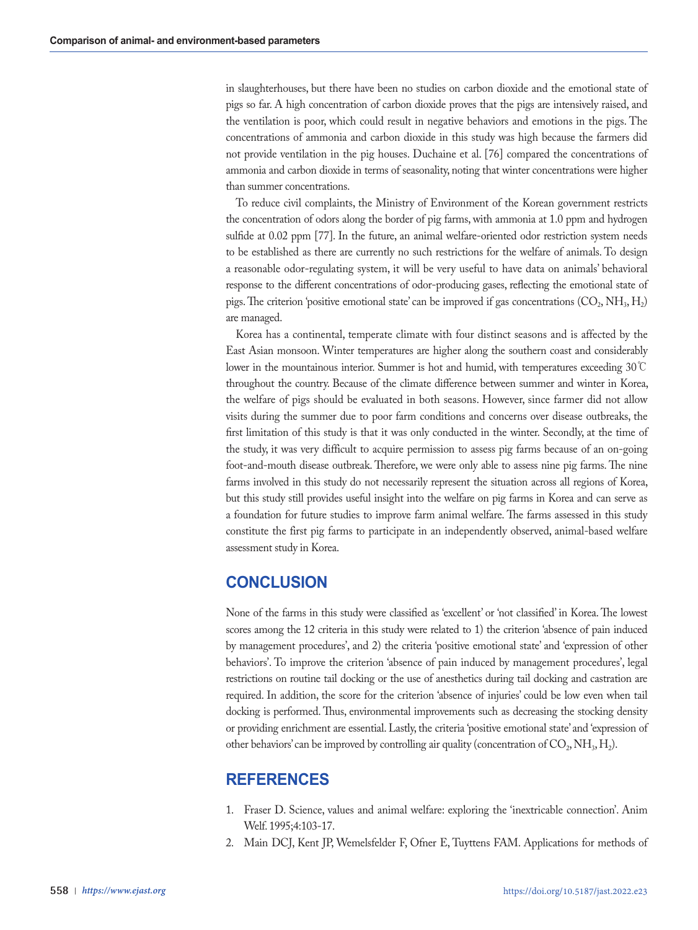in slaughterhouses, but there have been no studies on carbon dioxide and the emotional state of pigs so far. A high concentration of carbon dioxide proves that the pigs are intensively raised, and the ventilation is poor, which could result in negative behaviors and emotions in the pigs. The concentrations of ammonia and carbon dioxide in this study was high because the farmers did not provide ventilation in the pig houses. Duchaine et al. [76] compared the concentrations of ammonia and carbon dioxide in terms of seasonality, noting that winter concentrations were higher than summer concentrations.

To reduce civil complaints, the Ministry of Environment of the Korean government restricts the concentration of odors along the border of pig farms, with ammonia at 1.0 ppm and hydrogen sulfide at 0.02 ppm [77]. In the future, an animal welfare-oriented odor restriction system needs to be established as there are currently no such restrictions for the welfare of animals. To design a reasonable odor-regulating system, it will be very useful to have data on animals' behavioral response to the different concentrations of odor-producing gases, reflecting the emotional state of pigs. The criterion 'positive emotional state' can be improved if gas concentrations (CO<sub>2</sub>, NH<sub>3</sub>, H<sub>2</sub>) are managed.

Korea has a continental, temperate climate with four distinct seasons and is affected by the East Asian monsoon. Winter temperatures are higher along the southern coast and considerably lower in the mountainous interior. Summer is hot and humid, with temperatures exceeding 30℃ throughout the country. Because of the climate difference between summer and winter in Korea, the welfare of pigs should be evaluated in both seasons. However, since farmer did not allow visits during the summer due to poor farm conditions and concerns over disease outbreaks, the first limitation of this study is that it was only conducted in the winter. Secondly, at the time of the study, it was very difficult to acquire permission to assess pig farms because of an on-going foot-and-mouth disease outbreak. Therefore, we were only able to assess nine pig farms. The nine farms involved in this study do not necessarily represent the situation across all regions of Korea, but this study still provides useful insight into the welfare on pig farms in Korea and can serve as a foundation for future studies to improve farm animal welfare. The farms assessed in this study constitute the first pig farms to participate in an independently observed, animal-based welfare assessment study in Korea.

# **CONCLUSION**

None of the farms in this study were classified as 'excellent' or 'not classified' in Korea. The lowest scores among the 12 criteria in this study were related to 1) the criterion 'absence of pain induced by management procedures', and 2) the criteria 'positive emotional state' and 'expression of other behaviors'. To improve the criterion 'absence of pain induced by management procedures', legal restrictions on routine tail docking or the use of anesthetics during tail docking and castration are required. In addition, the score for the criterion 'absence of injuries' could be low even when tail docking is performed. Thus, environmental improvements such as decreasing the stocking density or providing enrichment are essential. Lastly, the criteria 'positive emotional state' and 'expression of other behaviors' can be improved by controlling air quality (concentration of  $CO_2$ , NH<sub>3</sub>, H<sub>2</sub>).

# **REFERENCES**

- 1. Fraser D. Science, values and animal welfare: exploring the 'inextricable connection'. Anim Welf. 1995;4:103-17.
- 2. Main DCJ, Kent JP, Wemelsfelder F, Ofner E, Tuyttens FAM. Applications for methods of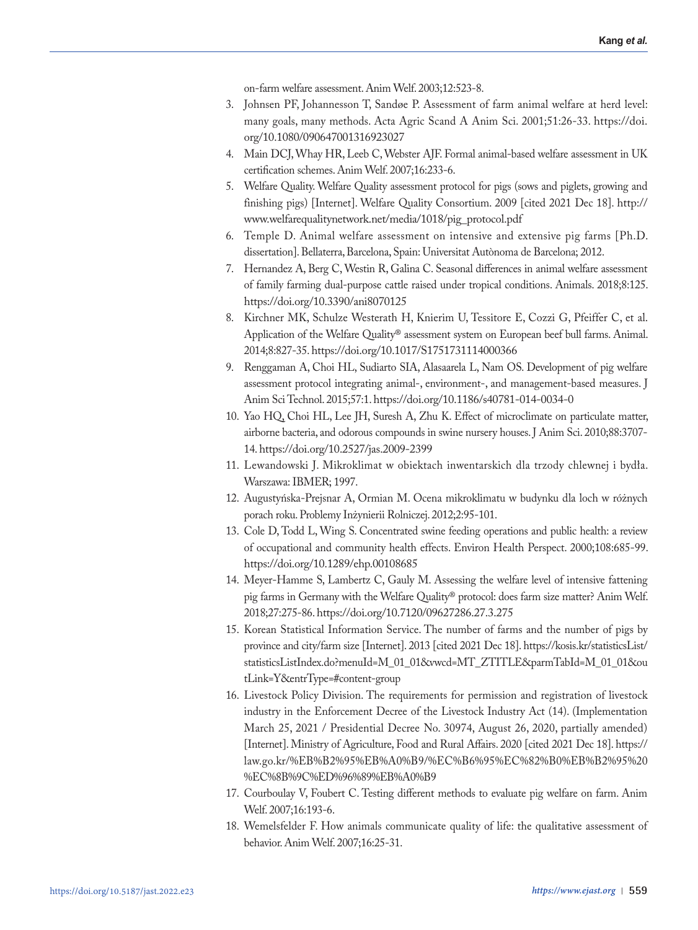on-farm welfare assessment. Anim Welf. 2003;12:523-8.

- 3. Johnsen PF, Johannesson T, Sandøe P. Assessment of farm animal welfare at herd level: many goals, many methods. Acta Agric Scand A Anim Sci. 2001;51:26-33. https://doi. org/10.1080/090647001316923027
- 4. Main DCJ, Whay HR, Leeb C, Webster AJF. Formal animal-based welfare assessment in UK certification schemes. Anim Welf. 2007;16:233-6.
- 5. Welfare Quality. Welfare Quality assessment protocol for pigs (sows and piglets, growing and finishing pigs) [Internet]. Welfare Quality Consortium. 2009 [cited 2021 Dec 18]. http:// www.welfarequalitynetwork.net/media/1018/pig\_protocol.pdf
- 6. Temple D. Animal welfare assessment on intensive and extensive pig farms [Ph.D. dissertation]. Bellaterra, Barcelona, Spain: Universitat Autònoma de Barcelona; 2012.
- 7. Hernandez A, Berg C, Westin R, Galina C. Seasonal differences in animal welfare assessment of family farming dual-purpose cattle raised under tropical conditions. Animals. 2018;8:125. https://doi.org/10.3390/ani8070125
- 8. Kirchner MK, Schulze Westerath H, Knierim U, Tessitore E, Cozzi G, Pfeiffer C, et al. Application of the Welfare Quality® assessment system on European beef bull farms. Animal. 2014;8:827-35. https://doi.org/10.1017/S1751731114000366
- 9. Renggaman A, Choi HL, Sudiarto SIA, Alasaarela L, Nam OS. Development of pig welfare assessment protocol integrating animal-, environment-, and management-based measures. J Anim Sci Technol. 2015;57:1. https://doi.org/10.1186/s40781-014-0034-0
- 10. Yao HQ, Choi HL, Lee JH, Suresh A, Zhu K. Effect of microclimate on particulate matter, airborne bacteria, and odorous compounds in swine nursery houses. J Anim Sci. 2010;88:3707- 14. https://doi.org/10.2527/jas.2009-2399
- 11. Lewandowski J. Mikroklimat w obiektach inwentarskich dla trzody chlewnej i bydła. Warszawa: IBMER; 1997.
- 12. Augustyńska-Prejsnar A, Ormian M. Ocena mikroklimatu w budynku dla loch w różnych porach roku. Problemy Inżynierii Rolniczej. 2012;2:95-101.
- 13. Cole D, Todd L, Wing S. Concentrated swine feeding operations and public health: a review of occupational and community health effects. Environ Health Perspect. 2000;108:685-99. https://doi.org/10.1289/ehp.00108685
- 14. Meyer-Hamme S, Lambertz C, Gauly M. Assessing the welfare level of intensive fattening pig farms in Germany with the Welfare Quality® protocol: does farm size matter? Anim Welf. 2018;27:275-86. https://doi.org/10.7120/09627286.27.3.275
- 15. Korean Statistical Information Service. The number of farms and the number of pigs by province and city/farm size [Internet]. 2013 [cited 2021 Dec 18]. https://kosis.kr/statisticsList/ statisticsListIndex.do?menuId=M\_01\_01&vwcd=MT\_ZTITLE&parmTabId=M\_01\_01&ou tLink=Y&entrType=#content-group
- 16. Livestock Policy Division. The requirements for permission and registration of livestock industry in the Enforcement Decree of the Livestock Industry Act (14). (Implementation March 25, 2021 / Presidential Decree No. 30974, August 26, 2020, partially amended) [Internet]. Ministry of Agriculture, Food and Rural Affairs. 2020 [cited 2021 Dec 18]. https:// law.go.kr/%EB%B2%95%EB%A0%B9/%EC%B6%95%EC%82%B0%EB%B2%95%20 %EC%8B%9C%ED%96%89%EB%A0%B9
- 17. Courboulay V, Foubert C. Testing different methods to evaluate pig welfare on farm. Anim Welf. 2007;16:193-6.
- 18. Wemelsfelder F. How animals communicate quality of life: the qualitative assessment of behavior. Anim Welf. 2007;16:25-31.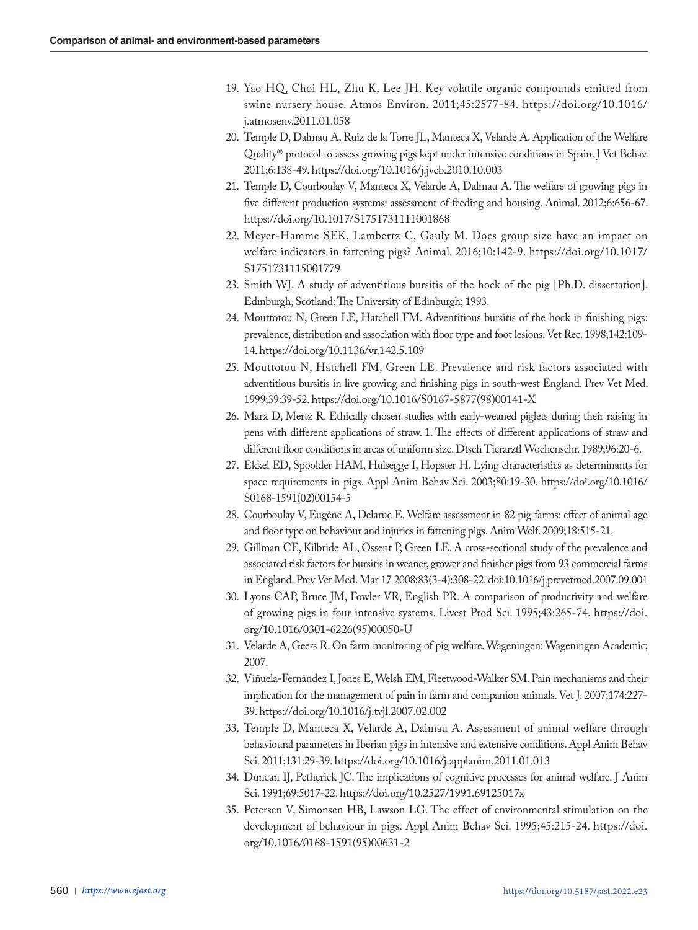- 19. Yao HQ, Choi HL, Zhu K, Lee JH. Key volatile organic compounds emitted from swine nursery house. Atmos Environ. 2011;45:2577-84. https://doi.org/10.1016/ j.atmosenv.2011.01.058
- 20. Temple D, Dalmau A, Ruiz de la Torre JL, Manteca X, Velarde A. Application of the Welfare Quality® protocol to assess growing pigs kept under intensive conditions in Spain. J Vet Behav. 2011;6:138-49. https://doi.org/10.1016/j.jveb.2010.10.003
- 21. Temple D, Courboulay V, Manteca X, Velarde A, Dalmau A. The welfare of growing pigs in five different production systems: assessment of feeding and housing. Animal. 2012;6:656-67. https://doi.org/10.1017/S1751731111001868
- 22. Meyer-Hamme SEK, Lambertz C, Gauly M. Does group size have an impact on welfare indicators in fattening pigs? Animal. 2016;10:142-9. https://doi.org/10.1017/ S1751731115001779
- 23. Smith WJ. A study of adventitious bursitis of the hock of the pig [Ph.D. dissertation]. Edinburgh, Scotland: The University of Edinburgh; 1993.
- 24. Mouttotou N, Green LE, Hatchell FM. Adventitious bursitis of the hock in finishing pigs: prevalence, distribution and association with floor type and foot lesions. Vet Rec. 1998;142:109- 14. https://doi.org/10.1136/vr.142.5.109
- 25. Mouttotou N, Hatchell FM, Green LE. Prevalence and risk factors associated with adventitious bursitis in live growing and finishing pigs in south-west England. Prev Vet Med. 1999;39:39-52. https://doi.org/10.1016/S0167-5877(98)00141-X
- 26. Marx D, Mertz R. Ethically chosen studies with early-weaned piglets during their raising in pens with different applications of straw. 1. The effects of different applications of straw and different floor conditions in areas of uniform size. Dtsch Tierarztl Wochenschr. 1989;96:20-6.
- 27. Ekkel ED, Spoolder HAM, Hulsegge I, Hopster H. Lying characteristics as determinants for space requirements in pigs. Appl Anim Behav Sci. 2003;80:19-30. https://doi.org/10.1016/ S0168-1591(02)00154-5
- 28. Courboulay V, Eugène A, Delarue E. Welfare assessment in 82 pig farms: effect of animal age and floor type on behaviour and injuries in fattening pigs. Anim Welf. 2009;18:515-21.
- 29. Gillman CE, Kilbride AL, Ossent P, Green LE. A cross-sectional study of the prevalence and associated risk factors for bursitis in weaner, grower and finisher pigs from 93 commercial farms in England. Prev Vet Med. Mar 17 2008;83(3-4):308-22. doi:10.1016/j.prevetmed.2007.09.001
- 30. Lyons CAP, Bruce JM, Fowler VR, English PR. A comparison of productivity and welfare of growing pigs in four intensive systems. Livest Prod Sci. 1995;43:265-74. https://doi. org/10.1016/0301-6226(95)00050-U
- 31. Velarde A, Geers R. On farm monitoring of pig welfare. Wageningen: Wageningen Academic; 2007.
- 32. Viñuela-Fernández I, Jones E, Welsh EM, Fleetwood-Walker SM. Pain mechanisms and their implication for the management of pain in farm and companion animals. Vet J. 2007;174:227- 39. https://doi.org/10.1016/j.tvjl.2007.02.002
- 33. Temple D, Manteca X, Velarde A, Dalmau A. Assessment of animal welfare through behavioural parameters in Iberian pigs in intensive and extensive conditions. Appl Anim Behav Sci. 2011;131:29-39. https://doi.org/10.1016/j.applanim.2011.01.013
- 34. Duncan IJ, Petherick JC. The implications of cognitive processes for animal welfare. J Anim Sci. 1991;69:5017-22. https://doi.org/10.2527/1991.69125017x
- 35. Petersen V, Simonsen HB, Lawson LG. The effect of environmental stimulation on the development of behaviour in pigs. Appl Anim Behav Sci. 1995;45:215-24. https://doi. org/10.1016/0168-1591(95)00631-2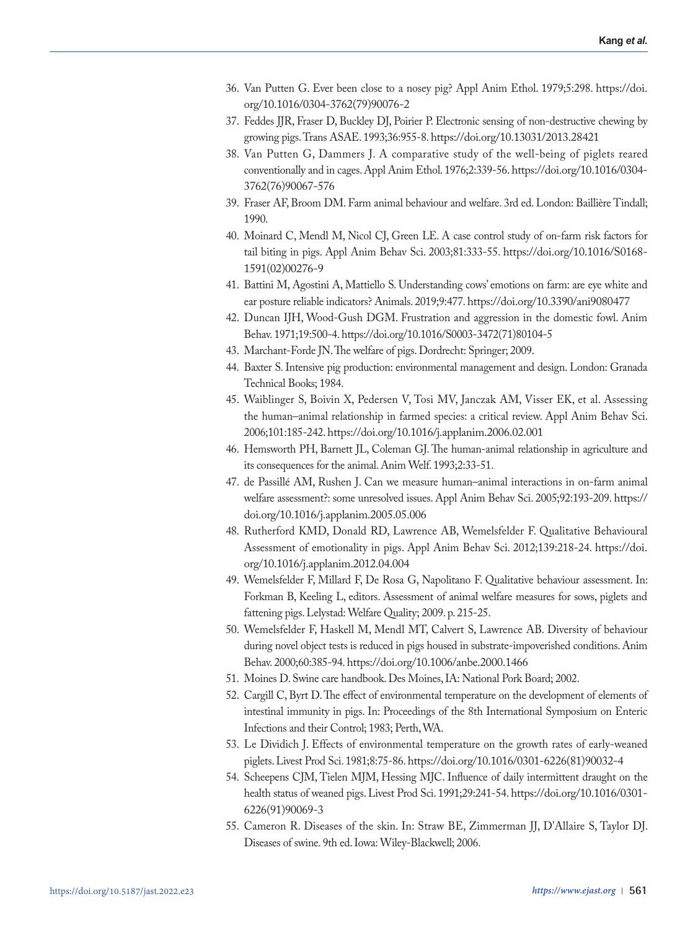- 36. Van Putten G. Ever been close to a nosey pig? Appl Anim Ethol. 1979;5:298. https://doi. org/10.1016/0304-3762(79)90076-2
- 37. Feddes JJR, Fraser D, Buckley DJ, Poirier P. Electronic sensing of non-destructive chewing by growing pigs. Trans ASAE. 1993;36:955-8. https://doi.org/10.13031/2013.28421
- 38. Van Putten G, Dammers J. A comparative study of the well-being of piglets reared conventionally and in cages. Appl Anim Ethol. 1976;2:339-56. https://doi.org/10.1016/0304- 3762(76)90067-576
- 39. Fraser AF, Broom DM. Farm animal behaviour and welfare. 3rd ed. London: Baillière Tindall; 1990.
- 40. Moinard C, Mendl M, Nicol CJ, Green LE. A case control study of on-farm risk factors for tail biting in pigs. Appl Anim Behav Sci. 2003;81:333-55. https://doi.org/10.1016/S0168- 1591(02)00276-9
- 41. Battini M, Agostini A, Mattiello S. Understanding cows' emotions on farm: are eye white and ear posture reliable indicators? Animals. 2019;9:477. https://doi.org/10.3390/ani9080477
- 42. Duncan IJH, Wood-Gush DGM. Frustration and aggression in the domestic fowl. Anim Behav. 1971;19:500-4. https://doi.org/10.1016/S0003-3472(71)80104-5
- 43. Marchant-Forde JN. The welfare of pigs. Dordrecht: Springer; 2009.
- 44. Baxter S. Intensive pig production: environmental management and design. London: Granada Technical Books; 1984.
- 45. Waiblinger S, Boivin X, Pedersen V, Tosi MV, Janczak AM, Visser EK, et al. Assessing the human–animal relationship in farmed species: a critical review. Appl Anim Behav Sci. 2006;101:185-242. https://doi.org/10.1016/j.applanim.2006.02.001
- 46. Hemsworth PH, Barnett JL, Coleman GJ. The human-animal relationship in agriculture and its consequences for the animal. Anim Welf. 1993;2:33-51.
- 47. de Passillé AM, Rushen J. Can we measure human–animal interactions in on-farm animal welfare assessment?: some unresolved issues. Appl Anim Behav Sci. 2005;92:193-209. https:// doi.org/10.1016/j.applanim.2005.05.006
- 48. Rutherford KMD, Donald RD, Lawrence AB, Wemelsfelder F. Qualitative Behavioural Assessment of emotionality in pigs. Appl Anim Behav Sci. 2012;139:218-24. https://doi. org/10.1016/j.applanim.2012.04.004
- 49. Wemelsfelder F, Millard F, De Rosa G, Napolitano F. Qualitative behaviour assessment. In: Forkman B, Keeling L, editors. Assessment of animal welfare measures for sows, piglets and fattening pigs. Lelystad: Welfare Quality; 2009. p. 215-25.
- 50. Wemelsfelder F, Haskell M, Mendl MT, Calvert S, Lawrence AB. Diversity of behaviour during novel object tests is reduced in pigs housed in substrate-impoverished conditions. Anim Behav. 2000;60:385-94. https://doi.org/10.1006/anbe.2000.1466
- 51. Moines D. Swine care handbook. Des Moines, IA: National Pork Board; 2002.
- 52. Cargill C, Byrt D. The effect of environmental temperature on the development of elements of intestinal immunity in pigs. In: Proceedings of the 8th International Symposium on Enteric Infections and their Control; 1983; Perth, WA.
- 53. Le Dividich J. Effects of environmental temperature on the growth rates of early-weaned piglets. Livest Prod Sci. 1981;8:75-86. https://doi.org/10.1016/0301-6226(81)90032-4
- 54. Scheepens CJM, Tielen MJM, Hessing MJC. Influence of daily intermittent draught on the health status of weaned pigs. Livest Prod Sci. 1991;29:241-54. https://doi.org/10.1016/0301- 6226(91)90069-3
- 55. Cameron R. Diseases of the skin. In: Straw BE, Zimmerman JJ, D'Allaire S, Taylor DJ. Diseases of swine. 9th ed. Iowa: Wiley-Blackwell; 2006.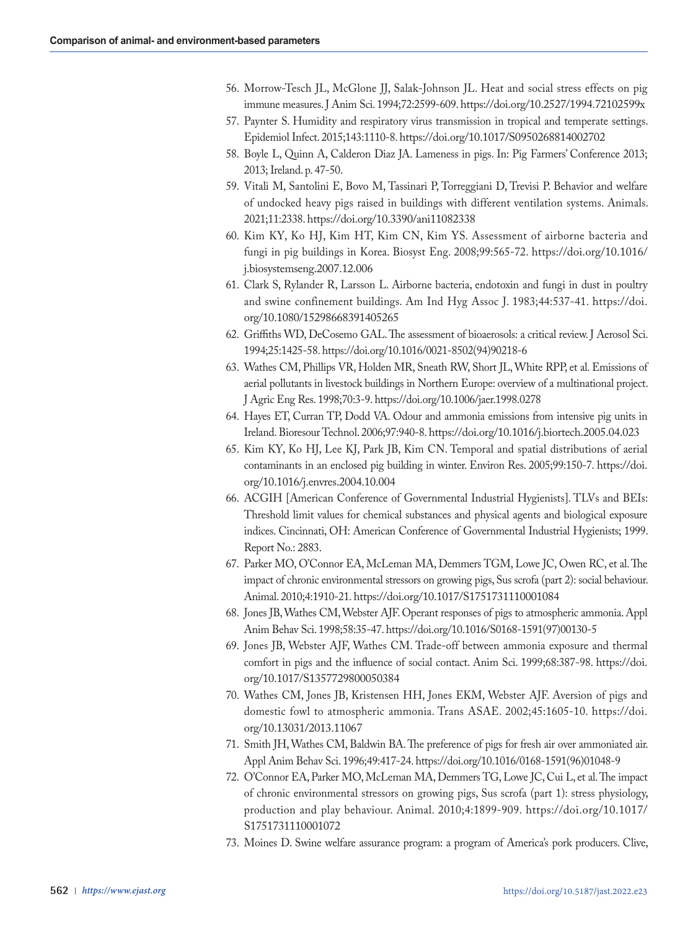- 56. Morrow-Tesch JL, McGlone JJ, Salak-Johnson JL. Heat and social stress effects on pig immune measures. J Anim Sci. 1994;72:2599-609. https://doi.org/10.2527/1994.72102599x
- 57. Paynter S. Humidity and respiratory virus transmission in tropical and temperate settings. Epidemiol Infect. 2015;143:1110-8. https://doi.org/10.1017/S0950268814002702
- 58. Boyle L, Quinn A, Calderon Diaz JA. Lameness in pigs. In: Pig Farmers' Conference 2013; 2013; Ireland. p. 47-50.
- 59. Vitali M, Santolini E, Bovo M, Tassinari P, Torreggiani D, Trevisi P. Behavior and welfare of undocked heavy pigs raised in buildings with different ventilation systems. Animals. 2021;11:2338. https://doi.org/10.3390/ani11082338
- 60. Kim KY, Ko HJ, Kim HT, Kim CN, Kim YS. Assessment of airborne bacteria and fungi in pig buildings in Korea. Biosyst Eng. 2008;99:565-72. https://doi.org/10.1016/ j.biosystemseng.2007.12.006
- 61. Clark S, Rylander R, Larsson L. Airborne bacteria, endotoxin and fungi in dust in poultry and swine confinement buildings. Am Ind Hyg Assoc J. 1983;44:537-41. https://doi. org/10.1080/15298668391405265
- 62. Griffiths WD, DeCosemo GAL. The assessment of bioaerosols: a critical review. J Aerosol Sci. 1994;25:1425-58. https://doi.org/10.1016/0021-8502(94)90218-6
- 63. Wathes CM, Phillips VR, Holden MR, Sneath RW, Short JL, White RPP, et al. Emissions of aerial pollutants in livestock buildings in Northern Europe: overview of a multinational project. J Agric Eng Res. 1998;70:3-9. https://doi.org/10.1006/jaer.1998.0278
- 64. Hayes ET, Curran TP, Dodd VA. Odour and ammonia emissions from intensive pig units in Ireland. Bioresour Technol. 2006;97:940-8. https://doi.org/10.1016/j.biortech.2005.04.023
- 65. Kim KY, Ko HJ, Lee KJ, Park JB, Kim CN. Temporal and spatial distributions of aerial contaminants in an enclosed pig building in winter. Environ Res. 2005;99:150-7. https://doi. org/10.1016/j.envres.2004.10.004
- 66. ACGIH [American Conference of Governmental Industrial Hygienists]. TLVs and BEIs: Threshold limit values for chemical substances and physical agents and biological exposure indices. Cincinnati, OH: American Conference of Governmental Industrial Hygienists; 1999. Report No.: 2883.
- 67. Parker MO, O'Connor EA, McLeman MA, Demmers TGM, Lowe JC, Owen RC, et al. The impact of chronic environmental stressors on growing pigs, Sus scrofa (part 2): social behaviour. Animal. 2010;4:1910-21. https://doi.org/10.1017/S1751731110001084
- 68. Jones JB, Wathes CM, Webster AJF. Operant responses of pigs to atmospheric ammonia. Appl Anim Behav Sci. 1998;58:35-47. https://doi.org/10.1016/S0168-1591(97)00130-5
- 69. Jones JB, Webster AJF, Wathes CM. Trade-off between ammonia exposure and thermal comfort in pigs and the influence of social contact. Anim Sci. 1999;68:387-98. https://doi. org/10.1017/S1357729800050384
- 70. Wathes CM, Jones JB, Kristensen HH, Jones EKM, Webster AJF. Aversion of pigs and domestic fowl to atmospheric ammonia. Trans ASAE. 2002;45:1605-10. https://doi. org/10.13031/2013.11067
- 71. Smith JH, Wathes CM, Baldwin BA. The preference of pigs for fresh air over ammoniated air. Appl Anim Behav Sci. 1996;49:417-24. https://doi.org/10.1016/0168-1591(96)01048-9
- 72. O'Connor EA, Parker MO, McLeman MA, Demmers TG, Lowe JC, Cui L, et al. The impact of chronic environmental stressors on growing pigs, Sus scrofa (part 1): stress physiology, production and play behaviour. Animal. 2010;4:1899-909. https://doi.org/10.1017/ S1751731110001072
- 73. Moines D. Swine welfare assurance program: a program of America's pork producers. Clive,